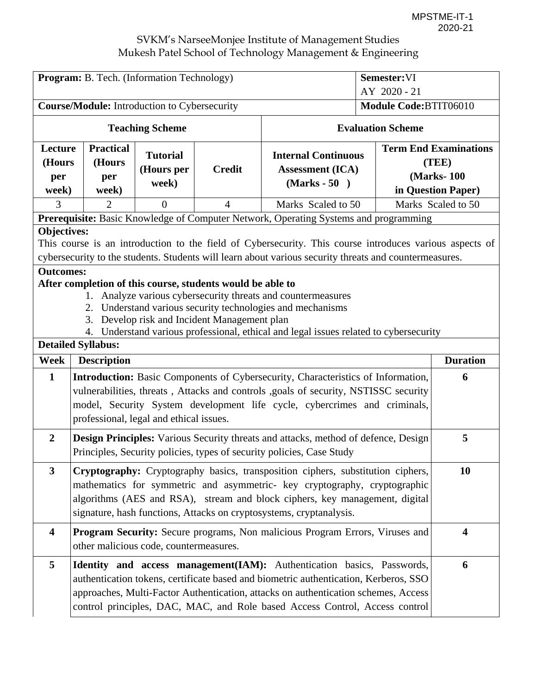| Program: B. Tech. (Information Technology)<br>Semester:VI                                                                                                                                                                                                                                                                                                                                                                                                                                                                                                                                                                           |                                                                                                                                                                                                                                                                                                                           |                                        |                |                                                                                                                                                                                                                                                                                                                                      |                                       |                                                                            |
|-------------------------------------------------------------------------------------------------------------------------------------------------------------------------------------------------------------------------------------------------------------------------------------------------------------------------------------------------------------------------------------------------------------------------------------------------------------------------------------------------------------------------------------------------------------------------------------------------------------------------------------|---------------------------------------------------------------------------------------------------------------------------------------------------------------------------------------------------------------------------------------------------------------------------------------------------------------------------|----------------------------------------|----------------|--------------------------------------------------------------------------------------------------------------------------------------------------------------------------------------------------------------------------------------------------------------------------------------------------------------------------------------|---------------------------------------|----------------------------------------------------------------------------|
| <b>Course/Module:</b> Introduction to Cybersecurity                                                                                                                                                                                                                                                                                                                                                                                                                                                                                                                                                                                 |                                                                                                                                                                                                                                                                                                                           |                                        |                |                                                                                                                                                                                                                                                                                                                                      | AY 2020 - 21<br>Module Code:BTIT06010 |                                                                            |
|                                                                                                                                                                                                                                                                                                                                                                                                                                                                                                                                                                                                                                     |                                                                                                                                                                                                                                                                                                                           |                                        |                |                                                                                                                                                                                                                                                                                                                                      |                                       |                                                                            |
|                                                                                                                                                                                                                                                                                                                                                                                                                                                                                                                                                                                                                                     |                                                                                                                                                                                                                                                                                                                           | <b>Teaching Scheme</b>                 |                |                                                                                                                                                                                                                                                                                                                                      | <b>Evaluation Scheme</b>              |                                                                            |
| Lecture<br>(Hours<br>per<br>week)                                                                                                                                                                                                                                                                                                                                                                                                                                                                                                                                                                                                   | <b>Practical</b><br>(Hours<br>per<br>week)                                                                                                                                                                                                                                                                                | <b>Tutorial</b><br>(Hours per<br>week) | <b>Credit</b>  | <b>Internal Continuous</b><br><b>Assessment (ICA)</b><br>$(Marks - 50)$                                                                                                                                                                                                                                                              |                                       | <b>Term End Examinations</b><br>(TEE)<br>(Marks-100)<br>in Question Paper) |
| 3                                                                                                                                                                                                                                                                                                                                                                                                                                                                                                                                                                                                                                   | 2                                                                                                                                                                                                                                                                                                                         | $\theta$                               | $\overline{4}$ | Marks Scaled to 50                                                                                                                                                                                                                                                                                                                   |                                       | Marks Scaled to 50                                                         |
|                                                                                                                                                                                                                                                                                                                                                                                                                                                                                                                                                                                                                                     |                                                                                                                                                                                                                                                                                                                           |                                        |                | Prerequisite: Basic Knowledge of Computer Network, Operating Systems and programming                                                                                                                                                                                                                                                 |                                       |                                                                            |
| <b>Objectives:</b><br>This course is an introduction to the field of Cybersecurity. This course introduces various aspects of<br>cybersecurity to the students. Students will learn about various security threats and countermeasures.<br><b>Outcomes:</b><br>After completion of this course, students would be able to<br>Analyze various cybersecurity threats and countermeasures<br>Understand various security technologies and mechanisms<br>2.<br>Develop risk and Incident Management plan<br>3.<br>Understand various professional, ethical and legal issues related to cybersecurity<br>4.<br><b>Detailed Syllabus:</b> |                                                                                                                                                                                                                                                                                                                           |                                        |                |                                                                                                                                                                                                                                                                                                                                      |                                       |                                                                            |
| Week                                                                                                                                                                                                                                                                                                                                                                                                                                                                                                                                                                                                                                | <b>Description</b>                                                                                                                                                                                                                                                                                                        |                                        |                |                                                                                                                                                                                                                                                                                                                                      |                                       | <b>Duration</b>                                                            |
| $\mathbf{1}$                                                                                                                                                                                                                                                                                                                                                                                                                                                                                                                                                                                                                        | professional, legal and ethical issues.                                                                                                                                                                                                                                                                                   |                                        |                | <b>Introduction:</b> Basic Components of Cybersecurity, Characteristics of Information,<br>vulnerabilities, threats, Attacks and controls , goals of security, NSTISSC security<br>model, Security System development life cycle, cybercrimes and criminals,                                                                         |                                       | 6                                                                          |
| $\overline{2}$                                                                                                                                                                                                                                                                                                                                                                                                                                                                                                                                                                                                                      | <b>Design Principles:</b> Various Security threats and attacks, method of defence, Design<br>Principles, Security policies, types of security policies, Case Study                                                                                                                                                        |                                        |                |                                                                                                                                                                                                                                                                                                                                      |                                       | 5                                                                          |
| $\overline{\mathbf{3}}$                                                                                                                                                                                                                                                                                                                                                                                                                                                                                                                                                                                                             | <b>Cryptography:</b> Cryptography basics, transposition ciphers, substitution ciphers,<br>mathematics for symmetric and asymmetric- key cryptography, cryptographic<br>algorithms (AES and RSA), stream and block ciphers, key management, digital<br>signature, hash functions, Attacks on cryptosystems, cryptanalysis. |                                        |                |                                                                                                                                                                                                                                                                                                                                      |                                       | 10                                                                         |
| $\overline{\mathbf{4}}$                                                                                                                                                                                                                                                                                                                                                                                                                                                                                                                                                                                                             | other malicious code, countermeasures.                                                                                                                                                                                                                                                                                    |                                        |                | Program Security: Secure programs, Non malicious Program Errors, Viruses and                                                                                                                                                                                                                                                         |                                       | $\overline{\mathbf{4}}$                                                    |
| 5                                                                                                                                                                                                                                                                                                                                                                                                                                                                                                                                                                                                                                   |                                                                                                                                                                                                                                                                                                                           |                                        |                | Identity and access management (IAM): Authentication basics, Passwords,<br>authentication tokens, certificate based and biometric authentication, Kerberos, SSO<br>approaches, Multi-Factor Authentication, attacks on authentication schemes, Access<br>control principles, DAC, MAC, and Role based Access Control, Access control |                                       | 6                                                                          |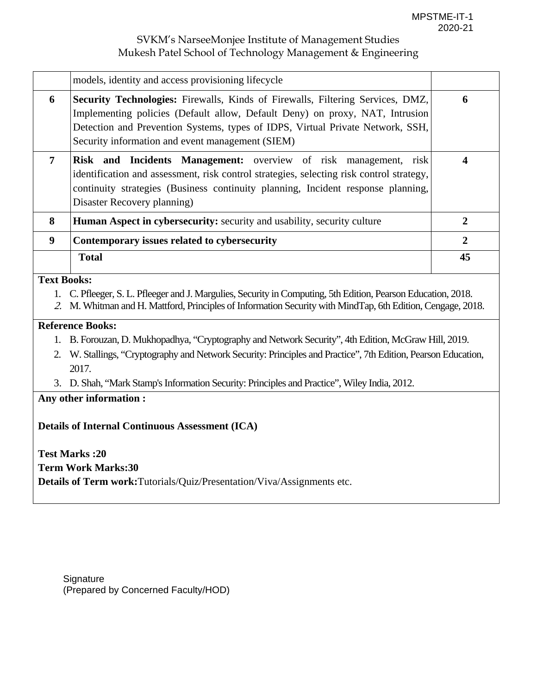|                    | models, identity and access provisioning lifecycle                                                                                                                                                                                                                                                          |                |
|--------------------|-------------------------------------------------------------------------------------------------------------------------------------------------------------------------------------------------------------------------------------------------------------------------------------------------------------|----------------|
| 6                  | <b>Security Technologies:</b> Firewalls, Kinds of Firewalls, Filtering Services, DMZ,<br>Implementing policies (Default allow, Default Deny) on proxy, NAT, Intrusion<br>Detection and Prevention Systems, types of IDPS, Virtual Private Network, SSH,<br>Security information and event management (SIEM) | 6              |
| $\overline{7}$     | Risk and Incidents Management: overview of risk management, risk<br>identification and assessment, risk control strategies, selecting risk control strategy,<br>continuity strategies (Business continuity planning, Incident response planning,<br>Disaster Recovery planning)                             | 4              |
| 8                  | <b>Human Aspect in cybersecurity:</b> security and usability, security culture                                                                                                                                                                                                                              | 2              |
| 9                  | Contemporary issues related to cybersecurity                                                                                                                                                                                                                                                                | $\overline{2}$ |
|                    | <b>Total</b>                                                                                                                                                                                                                                                                                                | 45             |
| <b>Text Books:</b> |                                                                                                                                                                                                                                                                                                             |                |

- 1. C. Pfleeger, S. L. Pfleeger and J. Margulies, Security in Computing, 5th Edition, Pearson Education, 2018.
- 2. M. Whitman and H. Mattford, Principles of Information Security with MindTap, 6th Edition, Cengage, 2018.

#### **Reference Books:**

- 1. B. Forouzan, D. Mukhopadhya, "Cryptography and Network Security", 4th Edition, McGraw Hill, 2019.
- 2. W. Stallings, "Cryptography and Network Security: Principles and Practice", 7th Edition, Pearson Education, 2017.
- 3. D. Shah, "Mark Stamp's Information Security: Principles and Practice", Wiley India, 2012.

## **Any other information :**

**Details of Internal Continuous Assessment (ICA)** 

**Test Marks :20 Term Work Marks:30 Details of Term work:**Tutorials/Quiz/Presentation/Viva/Assignments etc.

**Signature** (Prepared by Concerned Faculty/HOD)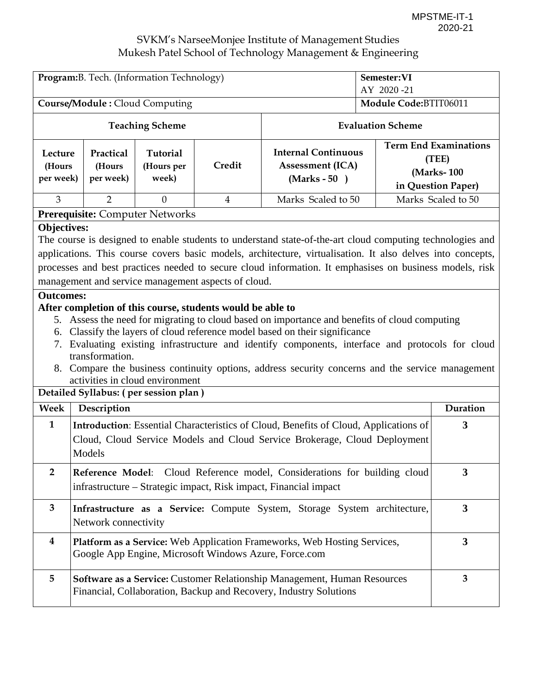| Program: B. Tech. (Information Technology)                                                                                                                                                                                                                                                                                                                                                                                                                                                                                                                                                                                                                                                                                                                                                                                                                                                                                                      |                                                                                                                                                                          |                                       |                |                                                                                                                                               | Semester: VI<br>AY 2020-21 |                                                                           |  |
|-------------------------------------------------------------------------------------------------------------------------------------------------------------------------------------------------------------------------------------------------------------------------------------------------------------------------------------------------------------------------------------------------------------------------------------------------------------------------------------------------------------------------------------------------------------------------------------------------------------------------------------------------------------------------------------------------------------------------------------------------------------------------------------------------------------------------------------------------------------------------------------------------------------------------------------------------|--------------------------------------------------------------------------------------------------------------------------------------------------------------------------|---------------------------------------|----------------|-----------------------------------------------------------------------------------------------------------------------------------------------|----------------------------|---------------------------------------------------------------------------|--|
|                                                                                                                                                                                                                                                                                                                                                                                                                                                                                                                                                                                                                                                                                                                                                                                                                                                                                                                                                 | Course/Module: Cloud Computing                                                                                                                                           |                                       |                |                                                                                                                                               | Module Code:BTIT06011      |                                                                           |  |
|                                                                                                                                                                                                                                                                                                                                                                                                                                                                                                                                                                                                                                                                                                                                                                                                                                                                                                                                                 |                                                                                                                                                                          | <b>Teaching Scheme</b>                |                |                                                                                                                                               | <b>Evaluation Scheme</b>   |                                                                           |  |
| Lecture<br>(Hours<br>per week)                                                                                                                                                                                                                                                                                                                                                                                                                                                                                                                                                                                                                                                                                                                                                                                                                                                                                                                  | Practical<br>(Hours<br>per week)                                                                                                                                         | Tutorial<br>(Hours per<br>week)       | Credit         | <b>Internal Continuous</b><br><b>Assessment (ICA)</b><br>$(Marks - 50)$                                                                       |                            | <b>Term End Examinations</b><br>(TEE)<br>(Marks-100<br>in Question Paper) |  |
| $\overline{3}$                                                                                                                                                                                                                                                                                                                                                                                                                                                                                                                                                                                                                                                                                                                                                                                                                                                                                                                                  | $\overline{2}$                                                                                                                                                           | $\theta$                              | $\overline{4}$ | Marks Scaled to 50                                                                                                                            |                            | Marks Scaled to 50                                                        |  |
|                                                                                                                                                                                                                                                                                                                                                                                                                                                                                                                                                                                                                                                                                                                                                                                                                                                                                                                                                 |                                                                                                                                                                          | Prerequisite: Computer Networks       |                |                                                                                                                                               |                            |                                                                           |  |
| <b>Objectives:</b><br>The course is designed to enable students to understand state-of-the-art cloud computing technologies and<br>applications. This course covers basic models, architecture, virtualisation. It also delves into concepts,<br>processes and best practices needed to secure cloud information. It emphasises on business models, risk<br>management and service management aspects of cloud.<br><b>Outcomes:</b><br>After completion of this course, students would be able to<br>5. Assess the need for migrating to cloud based on importance and benefits of cloud computing<br>6. Classify the layers of cloud reference model based on their significance<br>7. Evaluating existing infrastructure and identify components, interface and protocols for cloud<br>transformation.<br>8. Compare the business continuity options, address security concerns and the service management<br>activities in cloud environment |                                                                                                                                                                          |                                       |                |                                                                                                                                               |                            |                                                                           |  |
| <b>Week</b>                                                                                                                                                                                                                                                                                                                                                                                                                                                                                                                                                                                                                                                                                                                                                                                                                                                                                                                                     | Description                                                                                                                                                              | Detailed Syllabus: (per session plan) |                |                                                                                                                                               |                            | Duration                                                                  |  |
| $\mathbf{1}$                                                                                                                                                                                                                                                                                                                                                                                                                                                                                                                                                                                                                                                                                                                                                                                                                                                                                                                                    |                                                                                                                                                                          |                                       |                | Introduction: Essential Characteristics of Cloud, Benefits of Cloud, Applications of                                                          |                            | 3                                                                         |  |
|                                                                                                                                                                                                                                                                                                                                                                                                                                                                                                                                                                                                                                                                                                                                                                                                                                                                                                                                                 | Models                                                                                                                                                                   |                                       |                | Cloud, Cloud Service Models and Cloud Service Brokerage, Cloud Deployment                                                                     |                            |                                                                           |  |
| $\overline{2}$                                                                                                                                                                                                                                                                                                                                                                                                                                                                                                                                                                                                                                                                                                                                                                                                                                                                                                                                  | $\overline{\mathbf{3}}$<br>Reference Model: Cloud Reference model, Considerations for building cloud<br>infrastructure – Strategic impact, Risk impact, Financial impact |                                       |                |                                                                                                                                               |                            |                                                                           |  |
| 3                                                                                                                                                                                                                                                                                                                                                                                                                                                                                                                                                                                                                                                                                                                                                                                                                                                                                                                                               | $\mathbf{3}$<br>Infrastructure as a Service: Compute System, Storage System architecture,<br>Network connectivity                                                        |                                       |                |                                                                                                                                               |                            |                                                                           |  |
| $\bf{4}$                                                                                                                                                                                                                                                                                                                                                                                                                                                                                                                                                                                                                                                                                                                                                                                                                                                                                                                                        | Platform as a Service: Web Application Frameworks, Web Hosting Services,<br>Google App Engine, Microsoft Windows Azure, Force.com                                        |                                       |                |                                                                                                                                               |                            |                                                                           |  |
| 5                                                                                                                                                                                                                                                                                                                                                                                                                                                                                                                                                                                                                                                                                                                                                                                                                                                                                                                                               |                                                                                                                                                                          |                                       |                | Software as a Service: Customer Relationship Management, Human Resources<br>Financial, Collaboration, Backup and Recovery, Industry Solutions |                            | $\overline{3}$                                                            |  |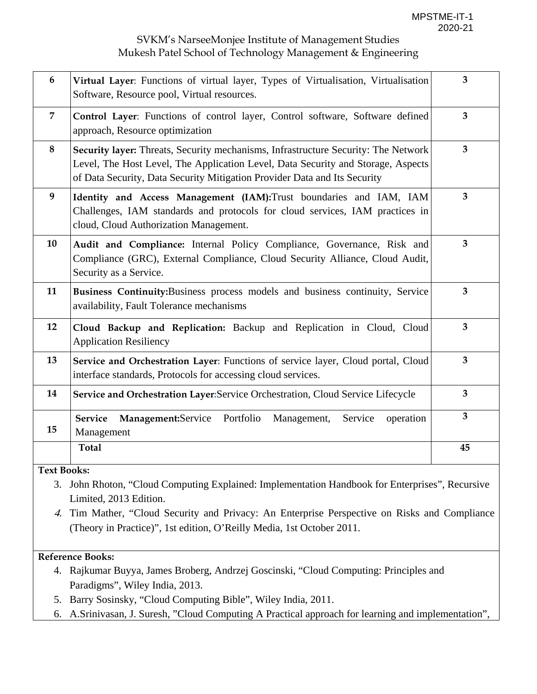| 6              | Virtual Layer: Functions of virtual layer, Types of Virtualisation, Virtualisation<br>Software, Resource pool, Virtual resources.                                                                                                                          | $\overline{\mathbf{3}}$ |  |  |  |  |
|----------------|------------------------------------------------------------------------------------------------------------------------------------------------------------------------------------------------------------------------------------------------------------|-------------------------|--|--|--|--|
| $\overline{7}$ | Control Layer: Functions of control layer, Control software, Software defined<br>approach, Resource optimization                                                                                                                                           | 3                       |  |  |  |  |
| 8              | <b>Security layer:</b> Threats, Security mechanisms, Infrastructure Security: The Network<br>Level, The Host Level, The Application Level, Data Security and Storage, Aspects<br>of Data Security, Data Security Mitigation Provider Data and Its Security |                         |  |  |  |  |
| 9              | Identity and Access Management (IAM): Trust boundaries and IAM, IAM<br>Challenges, IAM standards and protocols for cloud services, IAM practices in<br>cloud, Cloud Authorization Management.                                                              |                         |  |  |  |  |
| 10             | Audit and Compliance: Internal Policy Compliance, Governance, Risk and<br>Compliance (GRC), External Compliance, Cloud Security Alliance, Cloud Audit,<br>Security as a Service.                                                                           |                         |  |  |  |  |
| 11             | Business Continuity: Business process models and business continuity, Service<br>availability, Fault Tolerance mechanisms                                                                                                                                  |                         |  |  |  |  |
| 12             | Cloud Backup and Replication: Backup and Replication in Cloud, Cloud<br><b>Application Resiliency</b>                                                                                                                                                      |                         |  |  |  |  |
| 13             | Service and Orchestration Layer: Functions of service layer, Cloud portal, Cloud<br>interface standards, Protocols for accessing cloud services.                                                                                                           | $\overline{3}$          |  |  |  |  |
| 14             | Service and Orchestration Layer: Service Orchestration, Cloud Service Lifecycle                                                                                                                                                                            |                         |  |  |  |  |
| 15             | Portfolio<br><b>Service</b><br>Management:Service<br>Management,<br>Service<br>operation<br>Management                                                                                                                                                     | 3 <sup>1</sup>          |  |  |  |  |
|                | <b>Total</b>                                                                                                                                                                                                                                               | 45                      |  |  |  |  |

**Text Books:** 

- 3. John Rhoton, "Cloud Computing Explained: Implementation Handbook for Enterprises", Recursive Limited, 2013 Edition.
- 4. Tim Mather, "Cloud Security and Privacy: An Enterprise Perspective on Risks and Compliance (Theory in Practice)", 1st edition, O'Reilly Media, 1st October 2011.

### **Reference Books:**

- 4. Rajkumar Buyya, James Broberg, Andrzej Goscinski, "Cloud Computing: Principles and Paradigms", Wiley India, 2013.
- 5. Barry Sosinsky, "Cloud Computing Bible", Wiley India, 2011.
- 6. A.Srinivasan, J. Suresh, "Cloud Computing A Practical approach for learning and implementation",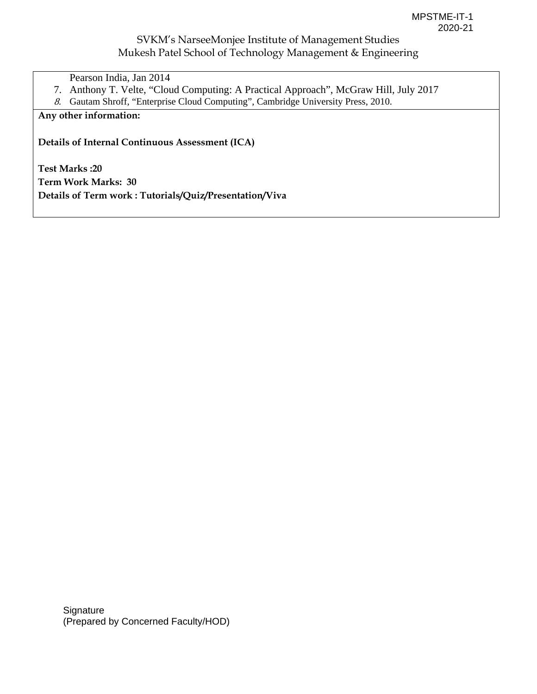- Pearson India, Jan 2014
- 7. Anthony T. Velte, "Cloud Computing: A Practical Approach", McGraw Hill, July 2017
- 8. Gautam Shroff, "Enterprise Cloud Computing", Cambridge University Press, 2010.

## **Any other information:**

**Details of Internal Continuous Assessment (ICA)** 

**Test Marks :20 Term Work Marks: 30 Details of Term work : Tutorials/Quiz/Presentation/Viva**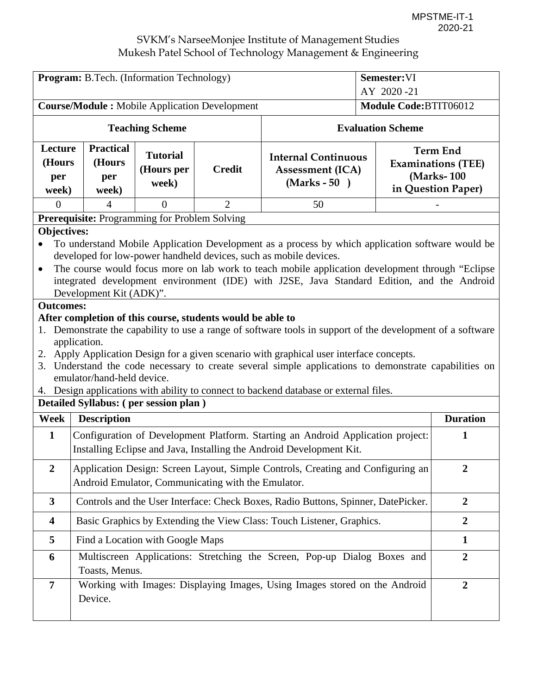| Program: B.Tech. (Information Technology)                                                                                                                                                                                                                                                                                                                                                                                                                                                                                                                                                                                                                                                                                                                                                                                                                                                                                                                                             |                                                                                                                                                         |                                               |                |                                                                                                                                                         | Semester:VI              |                                                                                  |  |
|---------------------------------------------------------------------------------------------------------------------------------------------------------------------------------------------------------------------------------------------------------------------------------------------------------------------------------------------------------------------------------------------------------------------------------------------------------------------------------------------------------------------------------------------------------------------------------------------------------------------------------------------------------------------------------------------------------------------------------------------------------------------------------------------------------------------------------------------------------------------------------------------------------------------------------------------------------------------------------------|---------------------------------------------------------------------------------------------------------------------------------------------------------|-----------------------------------------------|----------------|---------------------------------------------------------------------------------------------------------------------------------------------------------|--------------------------|----------------------------------------------------------------------------------|--|
|                                                                                                                                                                                                                                                                                                                                                                                                                                                                                                                                                                                                                                                                                                                                                                                                                                                                                                                                                                                       |                                                                                                                                                         |                                               |                | AY 2020-21                                                                                                                                              |                          |                                                                                  |  |
| <b>Course/Module:</b> Mobile Application Development                                                                                                                                                                                                                                                                                                                                                                                                                                                                                                                                                                                                                                                                                                                                                                                                                                                                                                                                  |                                                                                                                                                         |                                               |                | Module Code:BTIT06012                                                                                                                                   |                          |                                                                                  |  |
|                                                                                                                                                                                                                                                                                                                                                                                                                                                                                                                                                                                                                                                                                                                                                                                                                                                                                                                                                                                       |                                                                                                                                                         | <b>Teaching Scheme</b>                        |                |                                                                                                                                                         | <b>Evaluation Scheme</b> |                                                                                  |  |
| Lecture<br>(Hours<br>per<br>week)                                                                                                                                                                                                                                                                                                                                                                                                                                                                                                                                                                                                                                                                                                                                                                                                                                                                                                                                                     | <b>Practical</b><br>(Hours<br>per<br>week)                                                                                                              | <b>Tutorial</b><br>(Hours per<br>week)        | <b>Credit</b>  | <b>Internal Continuous</b><br><b>Assessment (ICA)</b><br>$(Marks - 50)$                                                                                 |                          | <b>Term End</b><br><b>Examinations (TEE)</b><br>(Marks-100<br>in Question Paper) |  |
| $\Omega$                                                                                                                                                                                                                                                                                                                                                                                                                                                                                                                                                                                                                                                                                                                                                                                                                                                                                                                                                                              | 4                                                                                                                                                       | $\theta$                                      | $\overline{2}$ | 50                                                                                                                                                      |                          |                                                                                  |  |
|                                                                                                                                                                                                                                                                                                                                                                                                                                                                                                                                                                                                                                                                                                                                                                                                                                                                                                                                                                                       |                                                                                                                                                         | Prerequisite: Programming for Problem Solving |                |                                                                                                                                                         |                          |                                                                                  |  |
| <b>Objectives:</b><br>To understand Mobile Application Development as a process by which application software would be<br>developed for low-power handheld devices, such as mobile devices.<br>The course would focus more on lab work to teach mobile application development through "Eclipse"<br>$\bullet$<br>integrated development environment (IDE) with J2SE, Java Standard Edition, and the Android<br>Development Kit (ADK)".<br><b>Outcomes:</b><br>After completion of this course, students would be able to<br>Demonstrate the capability to use a range of software tools in support of the development of a software<br>1.<br>application.<br>2. Apply Application Design for a given scenario with graphical user interface concepts.<br>3. Understand the code necessary to create several simple applications to demonstrate capabilities on<br>emulator/hand-held device.<br>4. Design applications with ability to connect to backend database or external files. |                                                                                                                                                         |                                               |                |                                                                                                                                                         |                          |                                                                                  |  |
|                                                                                                                                                                                                                                                                                                                                                                                                                                                                                                                                                                                                                                                                                                                                                                                                                                                                                                                                                                                       |                                                                                                                                                         | Detailed Syllabus: (per session plan)         |                |                                                                                                                                                         |                          |                                                                                  |  |
| Week                                                                                                                                                                                                                                                                                                                                                                                                                                                                                                                                                                                                                                                                                                                                                                                                                                                                                                                                                                                  | <b>Description</b>                                                                                                                                      |                                               |                |                                                                                                                                                         |                          | <b>Duration</b>                                                                  |  |
| $\mathbf{1}$                                                                                                                                                                                                                                                                                                                                                                                                                                                                                                                                                                                                                                                                                                                                                                                                                                                                                                                                                                          |                                                                                                                                                         |                                               |                | Configuration of Development Platform. Starting an Android Application project:<br>Installing Eclipse and Java, Installing the Android Development Kit. |                          | 1                                                                                |  |
| $\boldsymbol{2}$                                                                                                                                                                                                                                                                                                                                                                                                                                                                                                                                                                                                                                                                                                                                                                                                                                                                                                                                                                      | Application Design: Screen Layout, Simple Controls, Creating and Configuring an<br>$\overline{2}$<br>Android Emulator, Communicating with the Emulator. |                                               |                |                                                                                                                                                         |                          |                                                                                  |  |
| $\mathbf{3}$                                                                                                                                                                                                                                                                                                                                                                                                                                                                                                                                                                                                                                                                                                                                                                                                                                                                                                                                                                          |                                                                                                                                                         |                                               |                | Controls and the User Interface: Check Boxes, Radio Buttons, Spinner, DatePicker.                                                                       |                          | $\overline{2}$                                                                   |  |
| $\overline{\mathbf{4}}$                                                                                                                                                                                                                                                                                                                                                                                                                                                                                                                                                                                                                                                                                                                                                                                                                                                                                                                                                               |                                                                                                                                                         |                                               |                | Basic Graphics by Extending the View Class: Touch Listener, Graphics.                                                                                   |                          | $\overline{2}$                                                                   |  |
| 5                                                                                                                                                                                                                                                                                                                                                                                                                                                                                                                                                                                                                                                                                                                                                                                                                                                                                                                                                                                     |                                                                                                                                                         | Find a Location with Google Maps              |                |                                                                                                                                                         |                          | $\mathbf{1}$                                                                     |  |
| 6                                                                                                                                                                                                                                                                                                                                                                                                                                                                                                                                                                                                                                                                                                                                                                                                                                                                                                                                                                                     | Multiscreen Applications: Stretching the Screen, Pop-up Dialog Boxes and<br>Toasts, Menus.                                                              |                                               |                |                                                                                                                                                         |                          | $\overline{2}$                                                                   |  |
| 7                                                                                                                                                                                                                                                                                                                                                                                                                                                                                                                                                                                                                                                                                                                                                                                                                                                                                                                                                                                     | Device.                                                                                                                                                 |                                               |                | Working with Images: Displaying Images, Using Images stored on the Android                                                                              |                          | $\overline{2}$                                                                   |  |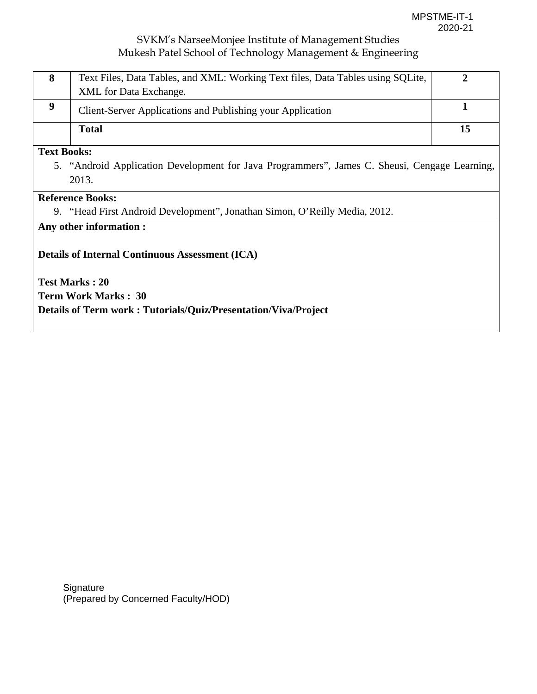| 8 | Text Files, Data Tables, and XML: Working Text files, Data Tables using SQLite,<br>XML for Data Exchange. |  |
|---|-----------------------------------------------------------------------------------------------------------|--|
|   | Client-Server Applications and Publishing your Application                                                |  |
|   | Total                                                                                                     |  |

#### **Text Books:**

5. "Android Application Development for Java Programmers", James C. Sheusi, Cengage Learning, 2013.

### **Reference Books:**

9. "Head First Android Development", Jonathan Simon, O'Reilly Media, 2012.

## **Any other information :**

### **Details of Internal Continuous Assessment (ICA)**

**Test Marks : 20 Term Work Marks : 30 Details of Term work : Tutorials/Quiz/Presentation/Viva/Project** 

**Signature** (Prepared by Concerned Faculty/HOD)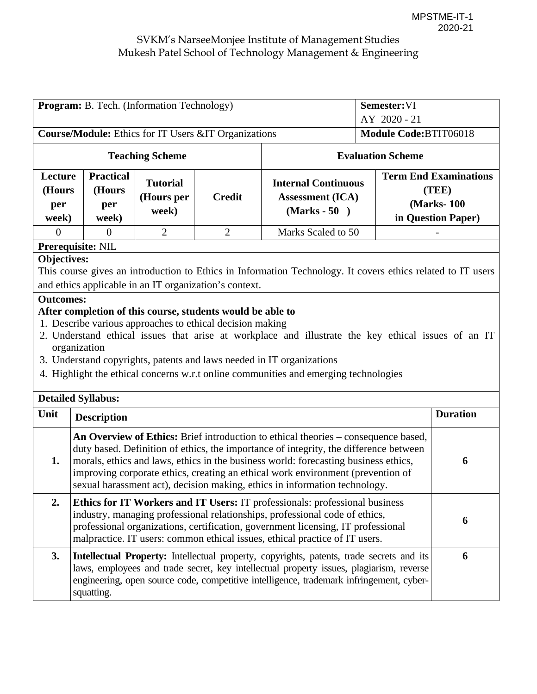| Semester:VI<br><b>Program:</b> B. Tech. (Information Technology)                                                                                                                                                                                                                                                                                                                                                                                                                                                                                                                                                                   |                                                                                                                                                                                                                                                                                                                                                                                                                                          |                                        |                |                                                                         |                          |                                                                           |
|------------------------------------------------------------------------------------------------------------------------------------------------------------------------------------------------------------------------------------------------------------------------------------------------------------------------------------------------------------------------------------------------------------------------------------------------------------------------------------------------------------------------------------------------------------------------------------------------------------------------------------|------------------------------------------------------------------------------------------------------------------------------------------------------------------------------------------------------------------------------------------------------------------------------------------------------------------------------------------------------------------------------------------------------------------------------------------|----------------------------------------|----------------|-------------------------------------------------------------------------|--------------------------|---------------------------------------------------------------------------|
| AY 2020 - 21                                                                                                                                                                                                                                                                                                                                                                                                                                                                                                                                                                                                                       |                                                                                                                                                                                                                                                                                                                                                                                                                                          |                                        |                |                                                                         |                          |                                                                           |
| <b>Course/Module:</b> Ethics for IT Users &IT Organizations                                                                                                                                                                                                                                                                                                                                                                                                                                                                                                                                                                        |                                                                                                                                                                                                                                                                                                                                                                                                                                          |                                        |                |                                                                         | Module Code:BTIT06018    |                                                                           |
|                                                                                                                                                                                                                                                                                                                                                                                                                                                                                                                                                                                                                                    |                                                                                                                                                                                                                                                                                                                                                                                                                                          | <b>Teaching Scheme</b>                 |                |                                                                         | <b>Evaluation Scheme</b> |                                                                           |
| Lecture<br>(Hours<br>per<br>week)                                                                                                                                                                                                                                                                                                                                                                                                                                                                                                                                                                                                  | <b>Practical</b><br>(Hours<br>per<br>week)                                                                                                                                                                                                                                                                                                                                                                                               | <b>Tutorial</b><br>(Hours per<br>week) | <b>Credit</b>  | <b>Internal Continuous</b><br><b>Assessment (ICA)</b><br>$(Marks - 50)$ |                          | <b>Term End Examinations</b><br>(TEE)<br>(Marks-100<br>in Question Paper) |
| $\Omega$                                                                                                                                                                                                                                                                                                                                                                                                                                                                                                                                                                                                                           | $\Omega$                                                                                                                                                                                                                                                                                                                                                                                                                                 | $\overline{2}$                         | $\overline{2}$ | Marks Scaled to 50                                                      |                          |                                                                           |
|                                                                                                                                                                                                                                                                                                                                                                                                                                                                                                                                                                                                                                    | Prerequisite: NIL                                                                                                                                                                                                                                                                                                                                                                                                                        |                                        |                |                                                                         |                          |                                                                           |
| <b>Objectives:</b><br>This course gives an introduction to Ethics in Information Technology. It covers ethics related to IT users<br>and ethics applicable in an IT organization's context.<br><b>Outcomes:</b><br>After completion of this course, students would be able to<br>1. Describe various approaches to ethical decision making<br>2. Understand ethical issues that arise at workplace and illustrate the key ethical issues of an IT<br>organization<br>3. Understand copyrights, patents and laws needed in IT organizations<br>4. Highlight the ethical concerns w.r.t online communities and emerging technologies |                                                                                                                                                                                                                                                                                                                                                                                                                                          |                                        |                |                                                                         |                          |                                                                           |
|                                                                                                                                                                                                                                                                                                                                                                                                                                                                                                                                                                                                                                    | <b>Detailed Syllabus:</b>                                                                                                                                                                                                                                                                                                                                                                                                                |                                        |                |                                                                         |                          |                                                                           |
| Unit                                                                                                                                                                                                                                                                                                                                                                                                                                                                                                                                                                                                                               | <b>Description</b>                                                                                                                                                                                                                                                                                                                                                                                                                       |                                        |                |                                                                         |                          | <b>Duration</b>                                                           |
| 1.                                                                                                                                                                                                                                                                                                                                                                                                                                                                                                                                                                                                                                 | An Overview of Ethics: Brief introduction to ethical theories – consequence based,<br>duty based. Definition of ethics, the importance of integrity, the difference between<br>morals, ethics and laws, ethics in the business world: forecasting business ethics,<br>6<br>improving corporate ethics, creating an ethical work environment (prevention of<br>sexual harassment act), decision making, ethics in information technology. |                                        |                |                                                                         |                          |                                                                           |
| 2.                                                                                                                                                                                                                                                                                                                                                                                                                                                                                                                                                                                                                                 | Ethics for IT Workers and IT Users: IT professionals: professional business<br>industry, managing professional relationships, professional code of ethics,<br>professional organizations, certification, government licensing, IT professional<br>malpractice. IT users: common ethical issues, ethical practice of IT users.                                                                                                            |                                        |                |                                                                         |                          |                                                                           |
| 3.                                                                                                                                                                                                                                                                                                                                                                                                                                                                                                                                                                                                                                 | Intellectual Property: Intellectual property, copyrights, patents, trade secrets and its<br>laws, employees and trade secret, key intellectual property issues, plagiarism, reverse<br>engineering, open source code, competitive intelligence, trademark infringement, cyber-<br>squatting.                                                                                                                                             |                                        |                |                                                                         |                          |                                                                           |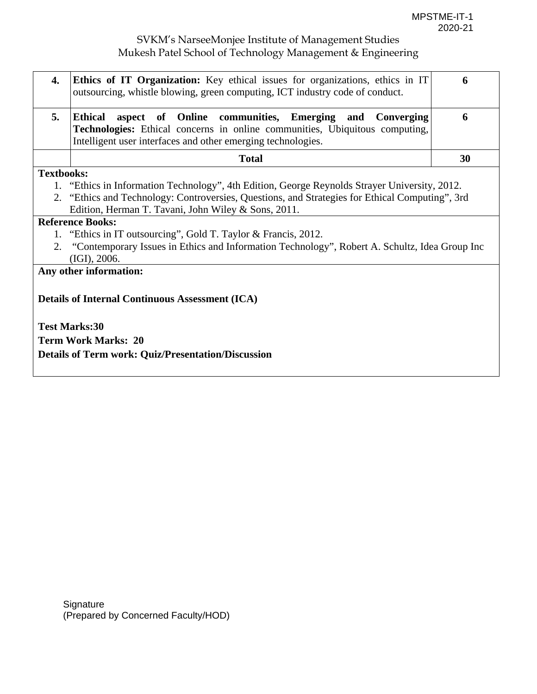| 4.                                                             | <b>Ethics of IT Organization:</b> Key ethical issues for organizations, ethics in IT<br>outsourcing, whistle blowing, green computing, ICT industry code of conduct.                                                             | 6  |  |  |  |  |
|----------------------------------------------------------------|----------------------------------------------------------------------------------------------------------------------------------------------------------------------------------------------------------------------------------|----|--|--|--|--|
| 5.                                                             | <b>Ethical</b><br>aspect of Online communities, Emerging and<br><b>Converging</b><br>Technologies: Ethical concerns in online communities, Ubiquitous computing,<br>Intelligent user interfaces and other emerging technologies. | 6  |  |  |  |  |
|                                                                | <b>Total</b>                                                                                                                                                                                                                     | 30 |  |  |  |  |
| <b>Textbooks:</b>                                              |                                                                                                                                                                                                                                  |    |  |  |  |  |
|                                                                | 1. "Ethics in Information Technology", 4th Edition, George Reynolds Strayer University, 2012.                                                                                                                                    |    |  |  |  |  |
|                                                                | 2. "Ethics and Technology: Controversies, Questions, and Strategies for Ethical Computing", 3rd                                                                                                                                  |    |  |  |  |  |
|                                                                | Edition, Herman T. Tavani, John Wiley & Sons, 2011.                                                                                                                                                                              |    |  |  |  |  |
|                                                                | <b>Reference Books:</b>                                                                                                                                                                                                          |    |  |  |  |  |
| 1. "Ethics in IT outsourcing", Gold T. Taylor & Francis, 2012. |                                                                                                                                                                                                                                  |    |  |  |  |  |
|                                                                | "Contemporary Issues in Ethics and Information Technology", Robert A. Schultz, Idea Group Inc<br>2.<br>(IGI), 2006.                                                                                                              |    |  |  |  |  |
|                                                                | Any other information:                                                                                                                                                                                                           |    |  |  |  |  |
|                                                                | <b>Details of Internal Continuous Assessment (ICA)</b><br><b>Test Marks:30</b><br><b>Term Work Marks: 20</b><br><b>Details of Term work: Quiz/Presentation/Discussion</b>                                                        |    |  |  |  |  |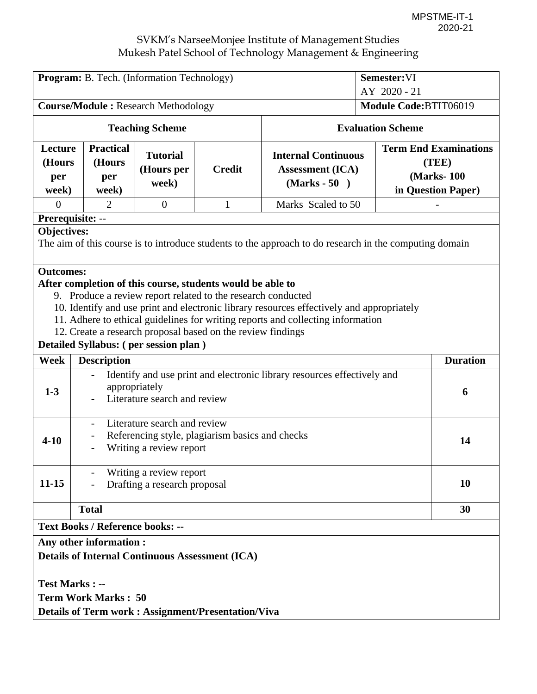| Program: B. Tech. (Information Technology)                                                                            |                                                                                                                               |                                        |                                                              |                                                                                           | Semester: VI |                       |                                                                            |
|-----------------------------------------------------------------------------------------------------------------------|-------------------------------------------------------------------------------------------------------------------------------|----------------------------------------|--------------------------------------------------------------|-------------------------------------------------------------------------------------------|--------------|-----------------------|----------------------------------------------------------------------------|
|                                                                                                                       |                                                                                                                               | AY 2020 - 21                           |                                                              |                                                                                           |              |                       |                                                                            |
| <b>Course/Module: Research Methodology</b>                                                                            |                                                                                                                               |                                        |                                                              |                                                                                           |              | Module Code:BTIT06019 |                                                                            |
|                                                                                                                       | <b>Teaching Scheme</b>                                                                                                        |                                        |                                                              | <b>Evaluation Scheme</b>                                                                  |              |                       |                                                                            |
| Lecture<br>(Hours<br>per<br>week)                                                                                     | <b>Practical</b><br>(Hours<br>per<br>week)                                                                                    | <b>Tutorial</b><br>(Hours per<br>week) | <b>Credit</b>                                                | <b>Internal Continuous</b><br><b>Assessment</b> (ICA)<br>$(Marks - 50)$                   |              |                       | <b>Term End Examinations</b><br>(TEE)<br>(Marks-100)<br>in Question Paper) |
| $\Omega$                                                                                                              | $\overline{2}$                                                                                                                | $\overline{0}$                         | 1                                                            | Marks Scaled to 50                                                                        |              |                       |                                                                            |
|                                                                                                                       | Prerequisite: --                                                                                                              |                                        |                                                              |                                                                                           |              |                       |                                                                            |
| Objectives:<br>The aim of this course is to introduce students to the approach to do research in the computing domain |                                                                                                                               |                                        |                                                              |                                                                                           |              |                       |                                                                            |
| <b>Outcomes:</b>                                                                                                      |                                                                                                                               |                                        |                                                              |                                                                                           |              |                       |                                                                            |
|                                                                                                                       |                                                                                                                               |                                        | After completion of this course, students would be able to   |                                                                                           |              |                       |                                                                            |
|                                                                                                                       |                                                                                                                               |                                        | 9. Produce a review report related to the research conducted |                                                                                           |              |                       |                                                                            |
|                                                                                                                       |                                                                                                                               |                                        |                                                              | 10. Identify and use print and electronic library resources effectively and appropriately |              |                       |                                                                            |
|                                                                                                                       |                                                                                                                               |                                        |                                                              | 11. Adhere to ethical guidelines for writing reports and collecting information           |              |                       |                                                                            |
|                                                                                                                       |                                                                                                                               |                                        | 12. Create a research proposal based on the review findings  |                                                                                           |              |                       |                                                                            |
|                                                                                                                       | Detailed Syllabus: (per session plan)                                                                                         |                                        |                                                              |                                                                                           |              |                       |                                                                            |
| Week                                                                                                                  | <b>Description</b>                                                                                                            |                                        |                                                              |                                                                                           |              |                       | <b>Duration</b>                                                            |
| $1-3$                                                                                                                 | Identify and use print and electronic library resources effectively and<br>appropriately<br>6<br>Literature search and review |                                        |                                                              |                                                                                           |              |                       |                                                                            |
| $4 - 10$                                                                                                              | Literature search and review<br>Referencing style, plagiarism basics and checks<br>Writing a review report                    |                                        |                                                              |                                                                                           |              | 14                    |                                                                            |
| $11 - 15$                                                                                                             | Writing a review report<br>Drafting a research proposal                                                                       |                                        |                                                              |                                                                                           |              | 10                    |                                                                            |
|                                                                                                                       | <b>Total</b>                                                                                                                  |                                        |                                                              |                                                                                           |              |                       | 30                                                                         |
| <b>Text Books / Reference books: --</b>                                                                               |                                                                                                                               |                                        |                                                              |                                                                                           |              |                       |                                                                            |
| <b>Any other information:</b>                                                                                         |                                                                                                                               |                                        |                                                              |                                                                                           |              |                       |                                                                            |
| <b>Details of Internal Continuous Assessment (ICA)</b>                                                                |                                                                                                                               |                                        |                                                              |                                                                                           |              |                       |                                                                            |
|                                                                                                                       |                                                                                                                               |                                        |                                                              |                                                                                           |              |                       |                                                                            |
| <b>Test Marks: --</b>                                                                                                 |                                                                                                                               |                                        |                                                              |                                                                                           |              |                       |                                                                            |
|                                                                                                                       | <b>Term Work Marks: 50</b>                                                                                                    |                                        |                                                              |                                                                                           |              |                       |                                                                            |
|                                                                                                                       |                                                                                                                               |                                        |                                                              |                                                                                           |              |                       |                                                                            |
|                                                                                                                       | <b>Details of Term work: Assignment/Presentation/Viva</b>                                                                     |                                        |                                                              |                                                                                           |              |                       |                                                                            |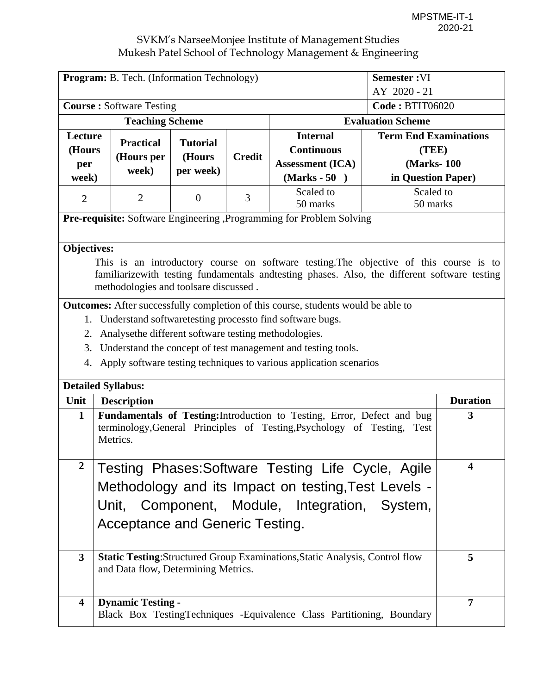| Semester:VI<br><b>Program:</b> B. Tech. (Information Technology) |                                                                         |                  |               |                                                                                              |                              |                 |  |  |
|------------------------------------------------------------------|-------------------------------------------------------------------------|------------------|---------------|----------------------------------------------------------------------------------------------|------------------------------|-----------------|--|--|
|                                                                  |                                                                         |                  |               |                                                                                              | AY 2020 - 21                 |                 |  |  |
|                                                                  | <b>Course: Software Testing</b>                                         |                  |               | <b>Code: BTIT06020</b>                                                                       |                              |                 |  |  |
|                                                                  | <b>Teaching Scheme</b>                                                  |                  |               |                                                                                              | <b>Evaluation Scheme</b>     |                 |  |  |
| Lecture                                                          | <b>Practical</b>                                                        | <b>Tutorial</b>  |               | <b>Internal</b><br><b>Continuous</b>                                                         | <b>Term End Examinations</b> |                 |  |  |
| (Hours                                                           | (Hours per                                                              | (Hours           | <b>Credit</b> | <b>Assessment (ICA)</b>                                                                      | (TEE)<br>(Marks-100)         |                 |  |  |
| per<br>week)                                                     | week)                                                                   | per week)        |               | $(Marks - 50)$                                                                               | in Question Paper)           |                 |  |  |
|                                                                  |                                                                         |                  |               | Scaled to                                                                                    | Scaled to                    |                 |  |  |
| $\overline{2}$                                                   | $\overline{2}$                                                          | $\boldsymbol{0}$ | 3             | 50 marks                                                                                     | 50 marks                     |                 |  |  |
|                                                                  |                                                                         |                  |               | <b>Pre-requisite:</b> Software Engineering , Programming for Problem Solving                 |                              |                 |  |  |
|                                                                  |                                                                         |                  |               |                                                                                              |                              |                 |  |  |
| Objectives:                                                      |                                                                         |                  |               |                                                                                              |                              |                 |  |  |
|                                                                  |                                                                         |                  |               | This is an introductory course on software testing. The objective of this course is to       |                              |                 |  |  |
|                                                                  |                                                                         |                  |               | familiarizewith testing fundamentals andtesting phases. Also, the different software testing |                              |                 |  |  |
|                                                                  | methodologies and toolsare discussed.                                   |                  |               |                                                                                              |                              |                 |  |  |
|                                                                  |                                                                         |                  |               | <b>Outcomes:</b> After successfully completion of this course, students would be able to     |                              |                 |  |  |
|                                                                  |                                                                         |                  |               | 1. Understand software testing process to find software bugs.                                |                              |                 |  |  |
|                                                                  | 2. Analysethe different software testing methodologies.                 |                  |               |                                                                                              |                              |                 |  |  |
|                                                                  |                                                                         |                  |               | 3. Understand the concept of test management and testing tools.                              |                              |                 |  |  |
|                                                                  |                                                                         |                  |               | 4. Apply software testing techniques to various application scenarios                        |                              |                 |  |  |
| <b>Detailed Syllabus:</b>                                        |                                                                         |                  |               |                                                                                              |                              |                 |  |  |
| Unit                                                             | <b>Description</b>                                                      |                  |               |                                                                                              |                              | <b>Duration</b> |  |  |
| $\mathbf{1}$                                                     |                                                                         |                  |               | Fundamentals of Testing: Introduction to Testing, Error, Defect and bug                      |                              | 3               |  |  |
|                                                                  |                                                                         |                  |               | terminology, General Principles of Testing, Psychology of Testing,                           | Test                         |                 |  |  |
|                                                                  | Metrics.                                                                |                  |               |                                                                                              |                              |                 |  |  |
| $\boldsymbol{2}$                                                 |                                                                         |                  |               | Testing Phases: Software Testing Life Cycle, Agile                                           |                              | 4               |  |  |
|                                                                  |                                                                         |                  |               | Methodology and its Impact on testing, Test Levels -                                         |                              |                 |  |  |
|                                                                  |                                                                         |                  |               |                                                                                              |                              |                 |  |  |
|                                                                  |                                                                         |                  |               | Unit, Component, Module, Integration, System,                                                |                              |                 |  |  |
|                                                                  | Acceptance and Generic Testing.                                         |                  |               |                                                                                              |                              |                 |  |  |
|                                                                  |                                                                         |                  |               |                                                                                              |                              |                 |  |  |
| 3                                                                |                                                                         |                  |               | <b>Static Testing:</b> Structured Group Examinations, Static Analysis, Control flow          |                              | 5               |  |  |
|                                                                  | and Data flow, Determining Metrics.                                     |                  |               |                                                                                              |                              |                 |  |  |
|                                                                  |                                                                         |                  |               |                                                                                              |                              |                 |  |  |
| 4                                                                | <b>Dynamic Testing -</b>                                                |                  |               |                                                                                              |                              | $\overline{7}$  |  |  |
|                                                                  | Black Box Testing Techniques - Equivalence Class Partitioning, Boundary |                  |               |                                                                                              |                              |                 |  |  |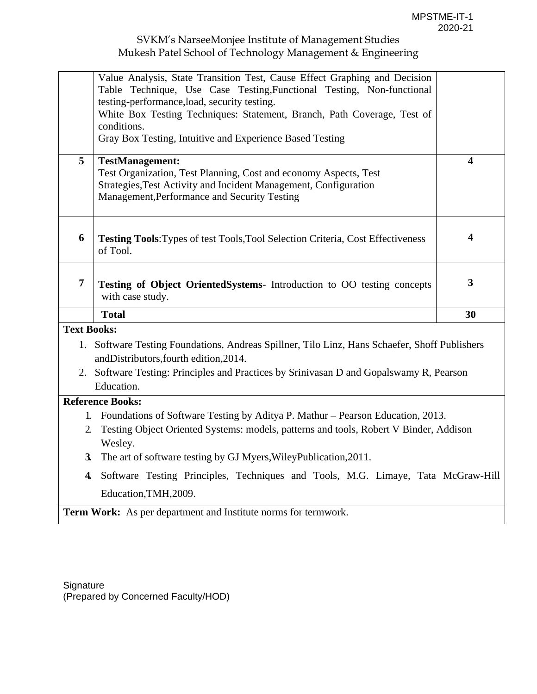|                         | Value Analysis, State Transition Test, Cause Effect Graphing and Decision                     |                |  |  |  |
|-------------------------|-----------------------------------------------------------------------------------------------|----------------|--|--|--|
|                         | Table Technique, Use Case Testing, Functional Testing, Non-functional                         |                |  |  |  |
|                         | testing-performance, load, security testing.                                                  |                |  |  |  |
|                         | White Box Testing Techniques: Statement, Branch, Path Coverage, Test of                       |                |  |  |  |
|                         | conditions.                                                                                   |                |  |  |  |
|                         | Gray Box Testing, Intuitive and Experience Based Testing                                      |                |  |  |  |
| 5                       | <b>TestManagement:</b>                                                                        | 4              |  |  |  |
|                         | Test Organization, Test Planning, Cost and economy Aspects, Test                              |                |  |  |  |
|                         | Strategies, Test Activity and Incident Management, Configuration                              |                |  |  |  |
|                         | Management, Performance and Security Testing                                                  |                |  |  |  |
|                         |                                                                                               |                |  |  |  |
|                         |                                                                                               |                |  |  |  |
| 6                       | Testing Tools: Types of test Tools, Tool Selection Criteria, Cost Effectiveness               | 4              |  |  |  |
|                         | of Tool.                                                                                      |                |  |  |  |
|                         |                                                                                               |                |  |  |  |
| $\overline{7}$          | Testing of Object OrientedSystems- Introduction to OO testing concepts                        | $\overline{3}$ |  |  |  |
|                         | with case study.                                                                              |                |  |  |  |
|                         | <b>Total</b>                                                                                  | 30             |  |  |  |
| <b>Text Books:</b>      |                                                                                               |                |  |  |  |
|                         | 1. Software Testing Foundations, Andreas Spillner, Tilo Linz, Hans Schaefer, Shoff Publishers |                |  |  |  |
|                         | andDistributors, fourth edition, 2014.                                                        |                |  |  |  |
|                         | 2. Software Testing: Principles and Practices by Srinivasan D and Gopalswamy R, Pearson       |                |  |  |  |
|                         | Education.                                                                                    |                |  |  |  |
|                         | <b>Reference Books:</b>                                                                       |                |  |  |  |
|                         | 1. Foundations of Software Testing by Aditya P. Mathur – Pearson Education, 2013.             |                |  |  |  |
| $\mathbf{2}$            | Testing Object Oriented Systems: models, patterns and tools, Robert V Binder, Addison         |                |  |  |  |
|                         | Wesley.                                                                                       |                |  |  |  |
|                         |                                                                                               |                |  |  |  |
| 3 <sub>l</sub>          | The art of software testing by GJ Myers, Wiley Publication, 2011.                             |                |  |  |  |
| $\overline{\mathbf{4}}$ | Software Testing Principles, Techniques and Tools, M.G. Limaye, Tata McGraw-Hill              |                |  |  |  |
|                         | Education, TMH, 2009.                                                                         |                |  |  |  |
|                         | Term Work: As per department and Institute norms for termwork.                                |                |  |  |  |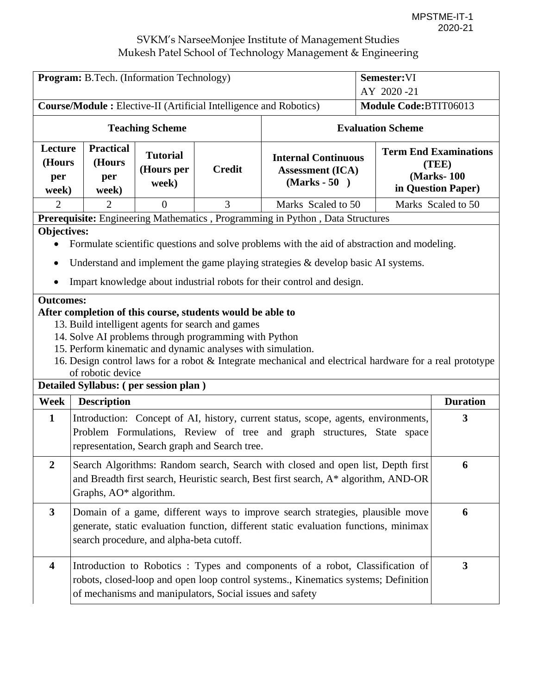| <b>Program:</b> B.Tech. (Information Technology)<br>Semester: VI |                                                                                                                                                                                                                                                                             |                                        |                                                                                                                                                                                                                                         |                                                                                                                                                                    |                          |                                                                            |  |
|------------------------------------------------------------------|-----------------------------------------------------------------------------------------------------------------------------------------------------------------------------------------------------------------------------------------------------------------------------|----------------------------------------|-----------------------------------------------------------------------------------------------------------------------------------------------------------------------------------------------------------------------------------------|--------------------------------------------------------------------------------------------------------------------------------------------------------------------|--------------------------|----------------------------------------------------------------------------|--|
|                                                                  |                                                                                                                                                                                                                                                                             |                                        |                                                                                                                                                                                                                                         |                                                                                                                                                                    | AY 2020-21               |                                                                            |  |
|                                                                  |                                                                                                                                                                                                                                                                             |                                        | <b>Course/Module:</b> Elective-II (Artificial Intelligence and Robotics)                                                                                                                                                                |                                                                                                                                                                    | Module Code:BTIT06013    |                                                                            |  |
|                                                                  |                                                                                                                                                                                                                                                                             | <b>Teaching Scheme</b>                 |                                                                                                                                                                                                                                         |                                                                                                                                                                    | <b>Evaluation Scheme</b> |                                                                            |  |
| Lecture<br>(Hours<br>per<br>week)                                | <b>Practical</b><br>(Hours<br>per<br>week)                                                                                                                                                                                                                                  | <b>Tutorial</b><br>(Hours per<br>week) | <b>Credit</b>                                                                                                                                                                                                                           | <b>Internal Continuous</b><br><b>Assessment (ICA)</b><br>$(Marks - 50)$                                                                                            |                          | <b>Term End Examinations</b><br>(TEE)<br>(Marks-100)<br>in Question Paper) |  |
| $\overline{2}$                                                   | $\overline{2}$                                                                                                                                                                                                                                                              | $\overline{0}$                         | 3                                                                                                                                                                                                                                       | Marks Scaled to 50                                                                                                                                                 |                          | Marks Scaled to 50                                                         |  |
|                                                                  |                                                                                                                                                                                                                                                                             |                                        |                                                                                                                                                                                                                                         | Prerequisite: Engineering Mathematics, Programming in Python, Data Structures                                                                                      |                          |                                                                            |  |
|                                                                  | Objectives:<br>Formulate scientific questions and solve problems with the aid of abstraction and modeling.<br>Understand and implement the game playing strategies $\&$ develop basic AI systems.<br>Impart knowledge about industrial robots for their control and design. |                                        |                                                                                                                                                                                                                                         |                                                                                                                                                                    |                          |                                                                            |  |
| <b>Outcomes:</b>                                                 | of robotic device<br>Detailed Syllabus: (per session plan)                                                                                                                                                                                                                  |                                        | After completion of this course, students would be able to<br>13. Build intelligent agents for search and games<br>14. Solve AI problems through programming with Python<br>15. Perform kinematic and dynamic analyses with simulation. | 16. Design control laws for a robot & Integrate mechanical and electrical hardware for a real prototype                                                            |                          |                                                                            |  |
| Week                                                             | <b>Description</b>                                                                                                                                                                                                                                                          |                                        |                                                                                                                                                                                                                                         |                                                                                                                                                                    |                          | <b>Duration</b>                                                            |  |
| $\mathbf{1}$                                                     | 3<br>Introduction: Concept of AI, history, current status, scope, agents, environments,<br>Problem Formulations, Review of tree and graph structures, State space<br>representation, Search graph and Search tree.                                                          |                                        |                                                                                                                                                                                                                                         |                                                                                                                                                                    |                          |                                                                            |  |
| 2                                                                | Search Algorithms: Random search, Search with closed and open list, Depth first<br>6<br>and Breadth first search, Heuristic search, Best first search, A* algorithm, AND-OR<br>Graphs, AO* algorithm.                                                                       |                                        |                                                                                                                                                                                                                                         |                                                                                                                                                                    |                          |                                                                            |  |
| $\mathbf{3}$                                                     | Domain of a game, different ways to improve search strategies, plausible move<br>generate, static evaluation function, different static evaluation functions, minimax<br>search procedure, and alpha-beta cutoff.                                                           |                                        |                                                                                                                                                                                                                                         |                                                                                                                                                                    |                          | 6                                                                          |  |
| 4                                                                |                                                                                                                                                                                                                                                                             |                                        | of mechanisms and manipulators, Social issues and safety                                                                                                                                                                                | Introduction to Robotics: Types and components of a robot, Classification of<br>robots, closed-loop and open loop control systems., Kinematics systems; Definition |                          | $\mathbf{3}$                                                               |  |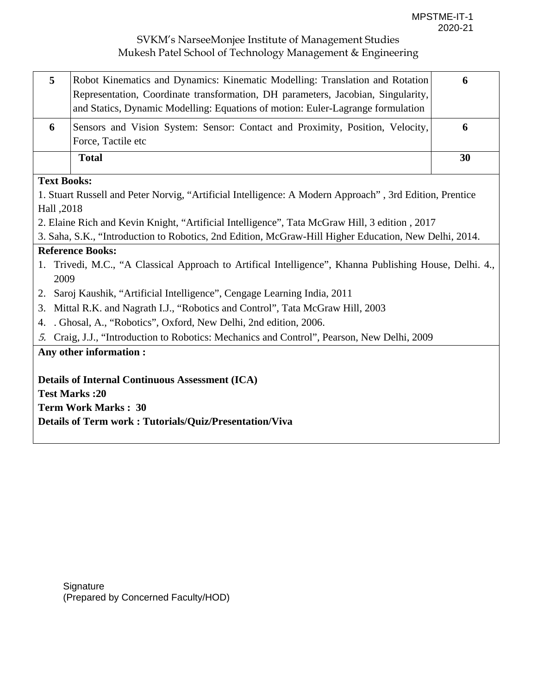| $\mathbf{5}$ | Robot Kinematics and Dynamics: Kinematic Modelling: Translation and Rotation<br>Representation, Coordinate transformation, DH parameters, Jacobian, Singularity,<br>and Statics, Dynamic Modelling: Equations of motion: Euler-Lagrange formulation | O  |
|--------------|-----------------------------------------------------------------------------------------------------------------------------------------------------------------------------------------------------------------------------------------------------|----|
| 6            | Sensors and Vision System: Sensor: Contact and Proximity, Position, Velocity,<br>Force, Tactile etc                                                                                                                                                 | O  |
|              | <b>Total</b>                                                                                                                                                                                                                                        | 30 |

## **Text Books:**

1. Stuart Russell and Peter Norvig, "Artificial Intelligence: A Modern Approach" , 3rd Edition, Prentice Hall ,2018

2. Elaine Rich and Kevin Knight, "Artificial Intelligence", Tata McGraw Hill, 3 edition , 2017

3. Saha, S.K., "Introduction to Robotics, 2nd Edition, McGraw-Hill Higher Education, New Delhi, 2014.

## **Reference Books:**

- 1. Trivedi, M.C., "A Classical Approach to Artifical Intelligence", Khanna Publishing House, Delhi. 4., 2009
- 2. Saroj Kaushik, "Artificial Intelligence", Cengage Learning India, 2011
- 3. Mittal R.K. and Nagrath I.J., "Robotics and Control", Tata McGraw Hill, 2003
- 4. . Ghosal, A., "Robotics", Oxford, New Delhi, 2nd edition, 2006.
- 5. Craig, J.J., "Introduction to Robotics: Mechanics and Control", Pearson, New Delhi, 2009

### **Any other information :**

**Details of Internal Continuous Assessment (ICA)** 

**Test Marks :20** 

**Term Work Marks : 30** 

**Details of Term work : Tutorials/Quiz/Presentation/Viva** 

**Signature** (Prepared by Concerned Faculty/HOD)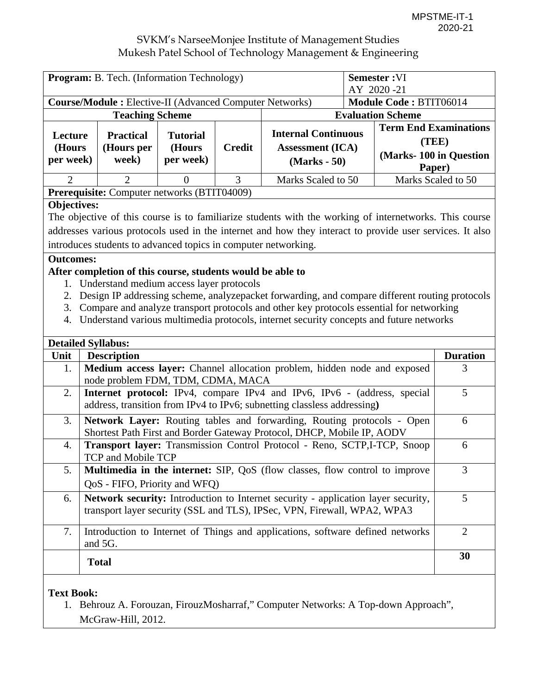| <b>Program:</b> B. Tech. (Information Technology)<br><b>Course/Module : Elective-II (Advanced Computer Networks)</b> |                                         |                                         |               |                                                                         | <b>Semester:VI</b><br>AY 2020-21<br>Module Code: BTIT06014                 |  |
|----------------------------------------------------------------------------------------------------------------------|-----------------------------------------|-----------------------------------------|---------------|-------------------------------------------------------------------------|----------------------------------------------------------------------------|--|
|                                                                                                                      | <b>Teaching Scheme</b>                  |                                         |               | <b>Evaluation Scheme</b>                                                |                                                                            |  |
| Lecture<br>(Hours<br>per week)                                                                                       | <b>Practical</b><br>(Hours per<br>week) | <b>Tutorial</b><br>(Hours)<br>per week) | <b>Credit</b> | <b>Internal Continuous</b><br><b>Assessment</b> (ICA)<br>$(Marks - 50)$ | <b>Term End Examinations</b><br>(TEE)<br>(Marks-100 in Question)<br>Paper) |  |
| 2                                                                                                                    | 2                                       |                                         | 3             | Marks Scaled to 50                                                      | Marks Scaled to 50                                                         |  |
| <b>Prerequisite:</b> Computer networks (BTIT04009)                                                                   |                                         |                                         |               |                                                                         |                                                                            |  |

#### **Objectives:**

The objective of this course is to familiarize students with the working of internetworks. This course addresses various protocols used in the internet and how they interact to provide user services. It also introduces students to advanced topics in computer networking.

#### **Outcomes:**

### **After completion of this course, students would be able to**

- 1. Understand medium access layer protocols
- 2. Design IP addressing scheme, analyzepacket forwarding, and compare different routing protocols
- 3. Compare and analyze transport protocols and other key protocols essential for networking
- 4. Understand various multimedia protocols, internet security concepts and future networks

|                  | <b>Detailed Syllabus:</b>                                                                                                                                     |                             |
|------------------|---------------------------------------------------------------------------------------------------------------------------------------------------------------|-----------------------------|
| Unit             | <b>Description</b>                                                                                                                                            | <b>Duration</b>             |
| 1.               | Medium access layer: Channel allocation problem, hidden node and exposed                                                                                      | 3                           |
|                  | node problem FDM, TDM, CDMA, MACA                                                                                                                             |                             |
| 2.               | <b>Internet protocol:</b> IPv4, compare IPv4 and IPv6, IPv6 - (address, special<br>address, transition from IPv4 to IPv6; subnetting classless addressing)    | 5                           |
| 3.               | Network Layer: Routing tables and forwarding, Routing protocols - Open<br>Shortest Path First and Border Gateway Protocol, DHCP, Mobile IP, AODV              | 6                           |
| $\overline{4}$ . | <b>Transport layer:</b> Transmission Control Protocol - Reno, SCTP, I-TCP, Snoop<br><b>TCP and Mobile TCP</b>                                                 | 6                           |
| 5.               | <b>Multimedia in the internet:</b> SIP, QoS (flow classes, flow control to improve<br>QoS - FIFO, Priority and WFQ)                                           | 3                           |
| 6.               | Network security: Introduction to Internet security - application layer security,<br>transport layer security (SSL and TLS), IPSec, VPN, Firewall, WPA2, WPA3 | 5                           |
| 7.               | Introduction to Internet of Things and applications, software defined networks<br>and 5G.                                                                     | $\mathcal{D}_{\mathcal{L}}$ |
|                  | <b>Total</b>                                                                                                                                                  | 30                          |

### **Text Book:**

1. Behrouz A. Forouzan, FirouzMosharraf," Computer Networks: A Top-down Approach", McGraw-Hill, 2012.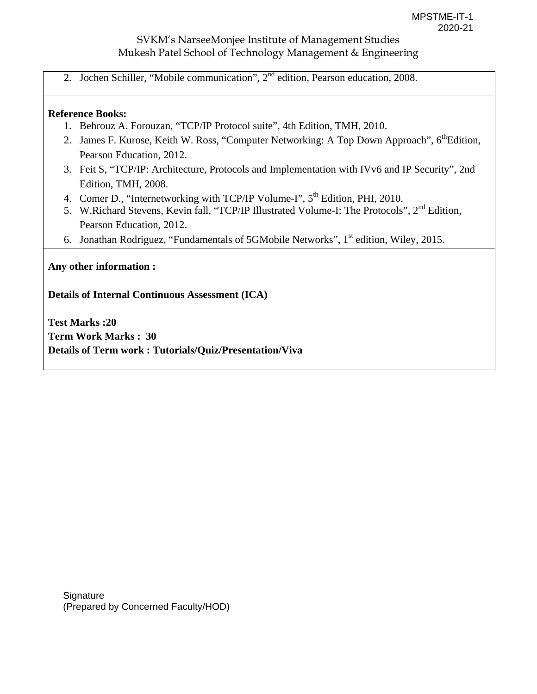2. Jochen Schiller, "Mobile communication", 2<sup>nd</sup> edition, Pearson education, 2008.

#### **Reference Books:**

- 1. Behrouz A. Forouzan, "TCP/IP Protocol suite", 4th Edition, TMH, 2010.
- 2. James F. Kurose, Keith W. Ross, "Computer Networking: A Top Down Approach", 6<sup>th</sup>Edition, Pearson Education, 2012.
- 3. Feit S, "TCP/IP: Architecture, Protocols and Implementation with IVv6 and IP Security", 2nd Edition, TMH, 2008.
- 4. Comer D., "Internetworking with TCP/IP Volume-I", 5<sup>th</sup> Edition, PHI, 2010.
- 5. W.Richard Stevens, Kevin fall, "TCP/IP Illustrated Volume-I: The Protocols", 2<sup>nd</sup> Edition, Pearson Education, 2012.
- 6. Jonathan Rodriguez, "Fundamentals of 5GMobile Networks", 1<sup>st</sup> edition, Wiley, 2015.

**Any other information :** 

**Details of Internal Continuous Assessment (ICA)** 

**Test Marks :20 Term Work Marks : 30 Details of Term work : Tutorials/Quiz/Presentation/Viva**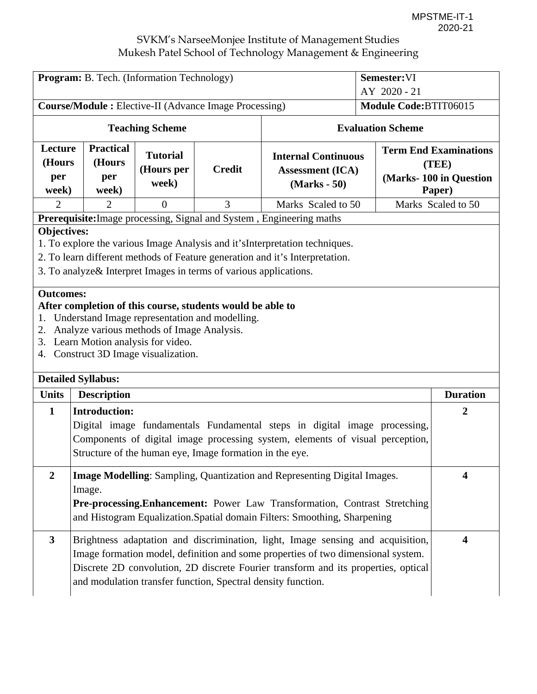| <b>Program:</b> B. Tech. (Information Technology)             |                                                                                                                                                                                                                                                                                                                                                                                                                                                                                                                              |                                        |                          | Semester:VI                                                             |              |                                                                           |
|---------------------------------------------------------------|------------------------------------------------------------------------------------------------------------------------------------------------------------------------------------------------------------------------------------------------------------------------------------------------------------------------------------------------------------------------------------------------------------------------------------------------------------------------------------------------------------------------------|----------------------------------------|--------------------------|-------------------------------------------------------------------------|--------------|---------------------------------------------------------------------------|
|                                                               |                                                                                                                                                                                                                                                                                                                                                                                                                                                                                                                              |                                        |                          |                                                                         | AY 2020 - 21 |                                                                           |
| <b>Course/Module :</b> Elective-II (Advance Image Processing) |                                                                                                                                                                                                                                                                                                                                                                                                                                                                                                                              |                                        |                          | Module Code:BTIT06015                                                   |              |                                                                           |
| <b>Teaching Scheme</b>                                        |                                                                                                                                                                                                                                                                                                                                                                                                                                                                                                                              |                                        | <b>Evaluation Scheme</b> |                                                                         |              |                                                                           |
| Lecture<br>(Hours<br>per<br>week)                             | <b>Practical</b><br>(Hours<br>per<br>week)                                                                                                                                                                                                                                                                                                                                                                                                                                                                                   | <b>Tutorial</b><br>(Hours per<br>week) | <b>Credit</b>            | <b>Internal Continuous</b><br><b>Assessment (ICA)</b><br>$(Marks - 50)$ |              | <b>Term End Examinations</b><br>(TEE)<br>(Marks-100 in Question<br>Paper) |
| $\overline{2}$                                                | $\overline{2}$                                                                                                                                                                                                                                                                                                                                                                                                                                                                                                               | $\Omega$                               | 3                        | Marks Scaled to 50                                                      |              | Marks Scaled to 50                                                        |
|                                                               |                                                                                                                                                                                                                                                                                                                                                                                                                                                                                                                              |                                        |                          | Prerequisite: Image processing, Signal and System, Engineering maths    |              |                                                                           |
| 2.                                                            | <b>Objectives:</b><br>1. To explore the various Image Analysis and it's Interpretation techniques.<br>2. To learn different methods of Feature generation and it's Interpretation.<br>3. To analyze & Interpret Images in terms of various applications.<br><b>Outcomes:</b><br>After completion of this course, students would be able to<br>1. Understand Image representation and modelling.<br>Analyze various methods of Image Analysis.<br>3. Learn Motion analysis for video.<br>4. Construct 3D Image visualization. |                                        |                          |                                                                         |              |                                                                           |
| <b>Detailed Syllabus:</b>                                     |                                                                                                                                                                                                                                                                                                                                                                                                                                                                                                                              |                                        |                          |                                                                         |              |                                                                           |
| <b>Units</b>                                                  | <b>Description</b>                                                                                                                                                                                                                                                                                                                                                                                                                                                                                                           |                                        |                          |                                                                         |              | <b>Duration</b>                                                           |
|                                                               | $\mathbf{1}$<br><b>Introduction:</b><br>$\overline{2}$<br>Digital image fundamentals Fundamental steps in digital image processing,<br>Components of digital image processing system, elements of visual perception,<br>Structure of the human eye, Image formation in the eye.                                                                                                                                                                                                                                              |                                        |                          |                                                                         |              |                                                                           |
| $\overline{2}$                                                | Image Modelling: Sampling, Quantization and Representing Digital Images.<br>4<br>Image.<br>Pre-processing.Enhancement: Power Law Transformation, Contrast Stretching<br>and Histogram Equalization. Spatial domain Filters: Smoothing, Sharpening                                                                                                                                                                                                                                                                            |                                        |                          |                                                                         |              |                                                                           |
| $\mathbf{3}$                                                  | Brightness adaptation and discrimination, light, Image sensing and acquisition,<br>$\overline{\mathbf{4}}$<br>Image formation model, definition and some properties of two dimensional system.<br>Discrete 2D convolution, 2D discrete Fourier transform and its properties, optical<br>and modulation transfer function, Spectral density function.                                                                                                                                                                         |                                        |                          |                                                                         |              |                                                                           |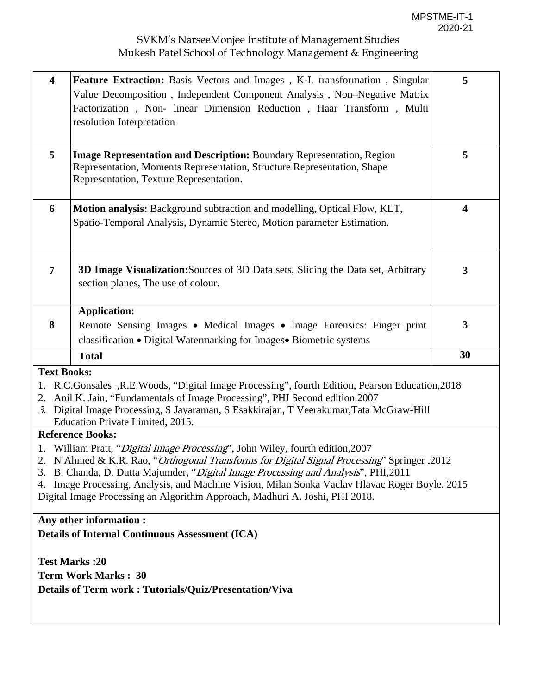| $\overline{\mathbf{4}}$                                                                                                                                                                                                                                                                                                                                                                                                                                          | Feature Extraction: Basis Vectors and Images, K-L transformation, Singular<br>Value Decomposition, Independent Component Analysis, Non-Negative Matrix<br>Factorization, Non-linear Dimension Reduction, Haar Transform, Multi<br>resolution Interpretation                                           | 5                       |  |  |
|------------------------------------------------------------------------------------------------------------------------------------------------------------------------------------------------------------------------------------------------------------------------------------------------------------------------------------------------------------------------------------------------------------------------------------------------------------------|-------------------------------------------------------------------------------------------------------------------------------------------------------------------------------------------------------------------------------------------------------------------------------------------------------|-------------------------|--|--|
| 5                                                                                                                                                                                                                                                                                                                                                                                                                                                                | <b>Image Representation and Description:</b> Boundary Representation, Region<br>Representation, Moments Representation, Structure Representation, Shape<br>Representation, Texture Representation.                                                                                                    | 5                       |  |  |
| 6                                                                                                                                                                                                                                                                                                                                                                                                                                                                | Motion analysis: Background subtraction and modelling, Optical Flow, KLT,<br>Spatio-Temporal Analysis, Dynamic Stereo, Motion parameter Estimation.                                                                                                                                                   | $\overline{\mathbf{4}}$ |  |  |
| 7                                                                                                                                                                                                                                                                                                                                                                                                                                                                | 3D Image Visualization: Sources of 3D Data sets, Slicing the Data set, Arbitrary<br>section planes, The use of colour.                                                                                                                                                                                | $\mathbf{3}$            |  |  |
|                                                                                                                                                                                                                                                                                                                                                                                                                                                                  | <b>Application:</b>                                                                                                                                                                                                                                                                                   |                         |  |  |
| 8                                                                                                                                                                                                                                                                                                                                                                                                                                                                | Remote Sensing Images • Medical Images • Image Forensics: Finger print                                                                                                                                                                                                                                | 3                       |  |  |
|                                                                                                                                                                                                                                                                                                                                                                                                                                                                  | classification • Digital Watermarking for Images• Biometric systems                                                                                                                                                                                                                                   |                         |  |  |
|                                                                                                                                                                                                                                                                                                                                                                                                                                                                  | <b>Total</b>                                                                                                                                                                                                                                                                                          | 30                      |  |  |
| <b>Text Books:</b>                                                                                                                                                                                                                                                                                                                                                                                                                                               |                                                                                                                                                                                                                                                                                                       |                         |  |  |
| 1.<br>2.<br>3.                                                                                                                                                                                                                                                                                                                                                                                                                                                   | R.C.Gonsales, R.E.Woods, "Digital Image Processing", fourth Edition, Pearson Education, 2018<br>Anil K. Jain, "Fundamentals of Image Processing", PHI Second edition.2007<br>Digital Image Processing, S Jayaraman, S Esakkirajan, T Veerakumar, Tata McGraw-Hill<br>Education Private Limited, 2015. |                         |  |  |
|                                                                                                                                                                                                                                                                                                                                                                                                                                                                  | <b>Reference Books:</b>                                                                                                                                                                                                                                                                               |                         |  |  |
| 1. William Pratt, " <i>Digital Image Processing</i> ", John Wiley, fourth edition, 2007<br>2012, 2012 N Ahmed & K.R. Rao, "Orthogonal Transforms for Digital Signal Processing" Springer<br>3. B. Chanda, D. Dutta Majumder, "Digital Image Processing and Analysis", PHI, 2011<br>4. Image Processing, Analysis, and Machine Vision, Milan Sonka Vaclav Hlavac Roger Boyle. 2015<br>Digital Image Processing an Algorithm Approach, Madhuri A. Joshi, PHI 2018. |                                                                                                                                                                                                                                                                                                       |                         |  |  |
|                                                                                                                                                                                                                                                                                                                                                                                                                                                                  | Any other information :                                                                                                                                                                                                                                                                               |                         |  |  |
|                                                                                                                                                                                                                                                                                                                                                                                                                                                                  | <b>Details of Internal Continuous Assessment (ICA)</b>                                                                                                                                                                                                                                                |                         |  |  |
|                                                                                                                                                                                                                                                                                                                                                                                                                                                                  | <b>Test Marks:20</b><br><b>Term Work Marks: 30</b><br><b>Details of Term work: Tutorials/Quiz/Presentation/Viva</b>                                                                                                                                                                                   |                         |  |  |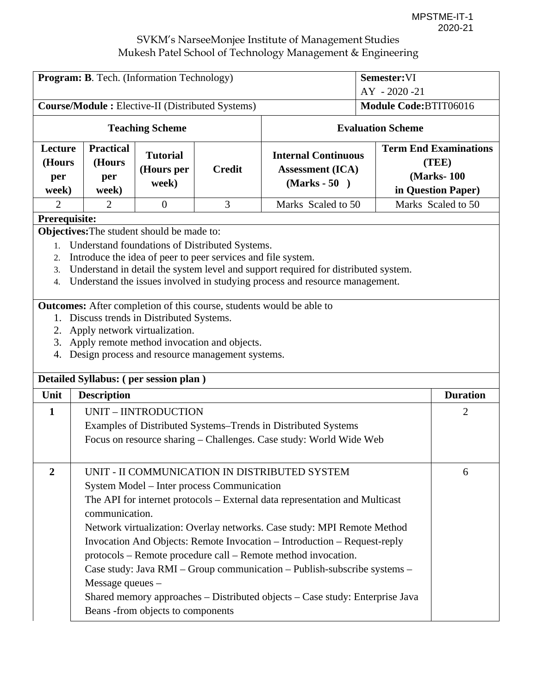| Program: B. Tech. (Information Technology)<br>Semester: VI        |                                                                                                                                                                                                                                                                                                                                                                                                                                                                                                                                                                                                                                                                                                                                                                                                                                                                                        |                                        |                                            |                                                                                                                                                                                                                                                                                                                                                                                                                                                                                                                  |  |                                                                            |
|-------------------------------------------------------------------|----------------------------------------------------------------------------------------------------------------------------------------------------------------------------------------------------------------------------------------------------------------------------------------------------------------------------------------------------------------------------------------------------------------------------------------------------------------------------------------------------------------------------------------------------------------------------------------------------------------------------------------------------------------------------------------------------------------------------------------------------------------------------------------------------------------------------------------------------------------------------------------|----------------------------------------|--------------------------------------------|------------------------------------------------------------------------------------------------------------------------------------------------------------------------------------------------------------------------------------------------------------------------------------------------------------------------------------------------------------------------------------------------------------------------------------------------------------------------------------------------------------------|--|----------------------------------------------------------------------------|
|                                                                   |                                                                                                                                                                                                                                                                                                                                                                                                                                                                                                                                                                                                                                                                                                                                                                                                                                                                                        |                                        |                                            | AY - 2020 -21                                                                                                                                                                                                                                                                                                                                                                                                                                                                                                    |  |                                                                            |
| <b>Course/Module:</b> Elective-II (Distributed Systems)           |                                                                                                                                                                                                                                                                                                                                                                                                                                                                                                                                                                                                                                                                                                                                                                                                                                                                                        |                                        | Module Code:BTIT06016                      |                                                                                                                                                                                                                                                                                                                                                                                                                                                                                                                  |  |                                                                            |
| <b>Teaching Scheme</b>                                            |                                                                                                                                                                                                                                                                                                                                                                                                                                                                                                                                                                                                                                                                                                                                                                                                                                                                                        |                                        | <b>Evaluation Scheme</b>                   |                                                                                                                                                                                                                                                                                                                                                                                                                                                                                                                  |  |                                                                            |
| Lecture<br>(Hours<br>per<br>week)                                 | <b>Practical</b><br>(Hours<br>per<br>week)                                                                                                                                                                                                                                                                                                                                                                                                                                                                                                                                                                                                                                                                                                                                                                                                                                             | <b>Tutorial</b><br>(Hours per<br>week) | <b>Credit</b>                              | <b>Internal Continuous</b><br><b>Assessment</b> (ICA)<br>$(Marks - 50)$                                                                                                                                                                                                                                                                                                                                                                                                                                          |  | <b>Term End Examinations</b><br>(TEE)<br>(Marks-100)<br>in Question Paper) |
| 2                                                                 | 2                                                                                                                                                                                                                                                                                                                                                                                                                                                                                                                                                                                                                                                                                                                                                                                                                                                                                      | $\overline{0}$                         | 3                                          | Marks Scaled to 50                                                                                                                                                                                                                                                                                                                                                                                                                                                                                               |  |                                                                            |
| 1.<br>2.<br>3.<br>$\overline{4}$ .<br>1.<br>3.<br>4.<br>Unit<br>1 | Marks Scaled to 50<br>Prerequisite:<br>Objectives: The student should be made to:<br>Understand foundations of Distributed Systems.<br>Introduce the idea of peer to peer services and file system.<br>Understand in detail the system level and support required for distributed system.<br>Understand the issues involved in studying process and resource management.<br>Outcomes: After completion of this course, students would be able to<br>Discuss trends in Distributed Systems.<br>2. Apply network virtualization.<br>Apply remote method invocation and objects.<br>Design process and resource management systems.<br>Detailed Syllabus: (per session plan)<br><b>Duration</b><br><b>Description</b><br>UNIT - IINTRODUCTION<br>2<br>Examples of Distributed Systems–Trends in Distributed Systems<br>Focus on resource sharing – Challenges. Case study: World Wide Web |                                        |                                            |                                                                                                                                                                                                                                                                                                                                                                                                                                                                                                                  |  |                                                                            |
| 2                                                                 | communication.<br>Message queues -                                                                                                                                                                                                                                                                                                                                                                                                                                                                                                                                                                                                                                                                                                                                                                                                                                                     | Beans -from objects to components      | System Model – Inter process Communication | UNIT - II COMMUNICATION IN DISTRIBUTED SYSTEM<br>The API for internet protocols – External data representation and Multicast<br>Network virtualization: Overlay networks. Case study: MPI Remote Method<br>Invocation And Objects: Remote Invocation - Introduction - Request-reply<br>protocols – Remote procedure call – Remote method invocation.<br>Case study: Java RMI – Group communication – Publish-subscribe systems –<br>Shared memory approaches - Distributed objects - Case study: Enterprise Java |  | 6                                                                          |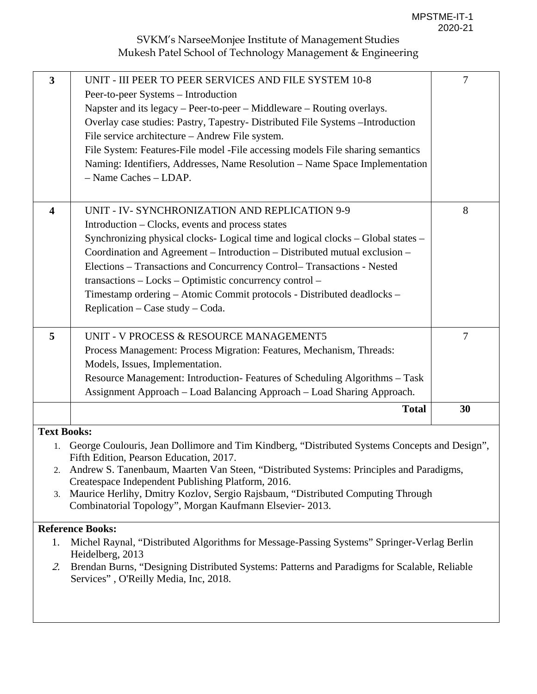| $\mathbf{3}$            | UNIT - III PEER TO PEER SERVICES AND FILE SYSTEM 10-8<br>Peer-to-peer Systems – Introduction<br>Napster and its legacy – Peer-to-peer – Middleware – Routing overlays.<br>Overlay case studies: Pastry, Tapestry- Distributed File Systems - Introduction<br>File service architecture - Andrew File system.<br>File System: Features-File model -File accessing models File sharing semantics<br>Naming: Identifiers, Addresses, Name Resolution - Name Space Implementation<br>- Name Caches - LDAP.                  | $7\phantom{.0}$      |
|-------------------------|-------------------------------------------------------------------------------------------------------------------------------------------------------------------------------------------------------------------------------------------------------------------------------------------------------------------------------------------------------------------------------------------------------------------------------------------------------------------------------------------------------------------------|----------------------|
| $\overline{\mathbf{4}}$ | UNIT - IV- SYNCHRONIZATION AND REPLICATION 9-9<br>Introduction – Clocks, events and process states<br>Synchronizing physical clocks- Logical time and logical clocks - Global states -<br>Coordination and Agreement - Introduction - Distributed mutual exclusion -<br>Elections - Transactions and Concurrency Control-Transactions - Nested<br>transactions - Locks - Optimistic concurrency control -<br>Timestamp ordering - Atomic Commit protocols - Distributed deadlocks -<br>Replication – Case study – Coda. | 8                    |
| 5                       | UNIT - V PROCESS & RESOURCE MANAGEMENT5<br>Process Management: Process Migration: Features, Mechanism, Threads:<br>Models, Issues, Implementation.<br>Resource Management: Introduction-Features of Scheduling Algorithms - Task<br>Assignment Approach - Load Balancing Approach - Load Sharing Approach.<br><b>Total</b>                                                                                                                                                                                              | $\overline{7}$<br>30 |
|                         |                                                                                                                                                                                                                                                                                                                                                                                                                                                                                                                         |                      |
| <b>Text Books:</b>      |                                                                                                                                                                                                                                                                                                                                                                                                                                                                                                                         |                      |
| 1.                      | George Coulouris, Jean Dollimore and Tim Kindberg, "Distributed Systems Concepts and Design",                                                                                                                                                                                                                                                                                                                                                                                                                           |                      |
|                         | Fifth Edition, Pearson Education, 2017.<br>$\sqrt{2}$                                                                                                                                                                                                                                                                                                                                                                                                                                                                   |                      |

- 2. [Andrew S. Tanenbaum](https://www.google.co.in/search?tbo=p&tbm=bks&q=inauthor:%22Andrew+S.+Tanenbaum%22), [Maarten Van Steen,](https://www.google.co.in/search?tbo=p&tbm=bks&q=inauthor:%22Maarten+Van+Steen%22) "Distributed Systems: Principles and Paradigms, Createspace Independent Publishing Platform, 2016.
- 3. Maurice Herlihy, Dmitry Kozlov, Sergio Rajsbaum, "Distributed Computing Through Combinatorial Topology", Morgan Kaufmann Elsevier- 2013.

### **Reference Books:**

- 1. Michel Raynal, "Distributed Algorithms for Message-Passing Systems" Springer-Verlag Berlin Heidelberg, 2013
- 2. Brendan Burns, "Designing Distributed Systems: Patterns and Paradigms for Scalable, Reliable Services" , O'Reilly Media, Inc, 2018.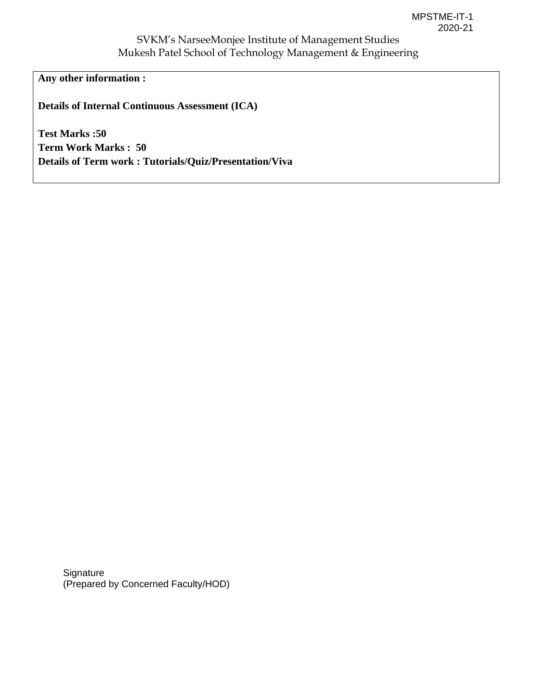**Any other information :** 

**Details of Internal Continuous Assessment (ICA)** 

**Test Marks :50 Term Work Marks : 50 Details of Term work : Tutorials/Quiz/Presentation/Viva** 

**Signature** (Prepared by Concerned Faculty/HOD)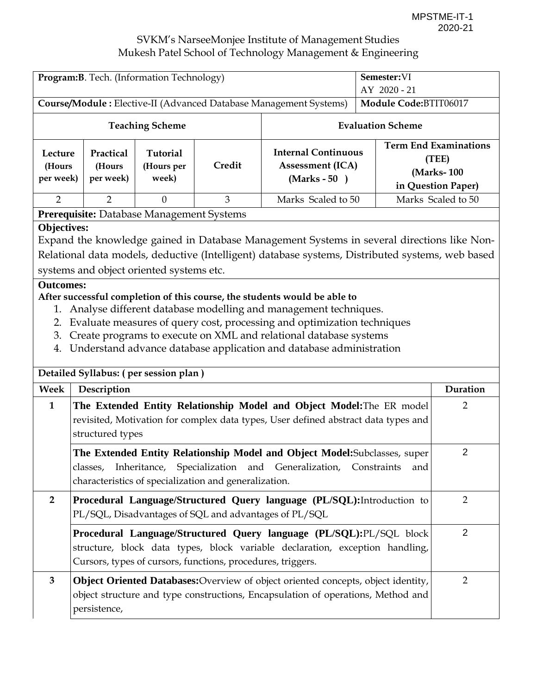| Program: B. Tech. (Information Technology)                                                                                                                                                                                                                                                                                                                                                                                                                                                                                                                                                                                                                                          |                                                                                                                                                                                                                                         |                                           |                                                             | Semester:VI<br>AY 2020 - 21                                                                                                                                           |                       |                                                                           |
|-------------------------------------------------------------------------------------------------------------------------------------------------------------------------------------------------------------------------------------------------------------------------------------------------------------------------------------------------------------------------------------------------------------------------------------------------------------------------------------------------------------------------------------------------------------------------------------------------------------------------------------------------------------------------------------|-----------------------------------------------------------------------------------------------------------------------------------------------------------------------------------------------------------------------------------------|-------------------------------------------|-------------------------------------------------------------|-----------------------------------------------------------------------------------------------------------------------------------------------------------------------|-----------------------|---------------------------------------------------------------------------|
| Course/Module: Elective-II (Advanced Database Management Systems)                                                                                                                                                                                                                                                                                                                                                                                                                                                                                                                                                                                                                   |                                                                                                                                                                                                                                         |                                           |                                                             |                                                                                                                                                                       | Module Code:BTIT06017 |                                                                           |
| <b>Teaching Scheme</b>                                                                                                                                                                                                                                                                                                                                                                                                                                                                                                                                                                                                                                                              |                                                                                                                                                                                                                                         | <b>Evaluation Scheme</b>                  |                                                             |                                                                                                                                                                       |                       |                                                                           |
| Lecture<br>(Hours<br>per week)                                                                                                                                                                                                                                                                                                                                                                                                                                                                                                                                                                                                                                                      | Practical<br>(Hours<br>per week)                                                                                                                                                                                                        | <b>Tutorial</b><br>(Hours per<br>week)    | Credit                                                      | <b>Internal Continuous</b><br><b>Assessment (ICA)</b><br>$(Marks - 50)$                                                                                               |                       | <b>Term End Examinations</b><br>(TEE)<br>(Marks-100<br>in Question Paper) |
| $\overline{2}$                                                                                                                                                                                                                                                                                                                                                                                                                                                                                                                                                                                                                                                                      | $\overline{2}$                                                                                                                                                                                                                          | $\Omega$                                  | 3                                                           | Marks Scaled to 50                                                                                                                                                    |                       | Marks Scaled to 50                                                        |
|                                                                                                                                                                                                                                                                                                                                                                                                                                                                                                                                                                                                                                                                                     |                                                                                                                                                                                                                                         | Prerequisite: Database Management Systems |                                                             |                                                                                                                                                                       |                       |                                                                           |
| <b>Objectives:</b><br>Expand the knowledge gained in Database Management Systems in several directions like Non-<br>Relational data models, deductive (Intelligent) database systems, Distributed systems, web based<br>systems and object oriented systems etc.<br><b>Outcomes:</b><br>After successful completion of this course, the students would be able to<br>Analyse different database modelling and management techniques.<br>1.<br>Evaluate measures of query cost, processing and optimization techniques<br>2.<br>Create programs to execute on XML and relational database systems<br>3.<br>Understand advance database application and database administration<br>4. |                                                                                                                                                                                                                                         |                                           |                                                             |                                                                                                                                                                       |                       |                                                                           |
|                                                                                                                                                                                                                                                                                                                                                                                                                                                                                                                                                                                                                                                                                     |                                                                                                                                                                                                                                         | Detailed Syllabus: (per session plan)     |                                                             |                                                                                                                                                                       |                       |                                                                           |
| Week<br>Description                                                                                                                                                                                                                                                                                                                                                                                                                                                                                                                                                                                                                                                                 |                                                                                                                                                                                                                                         |                                           |                                                             |                                                                                                                                                                       | Duration              |                                                                           |
| $\mathbf{1}$                                                                                                                                                                                                                                                                                                                                                                                                                                                                                                                                                                                                                                                                        | structured types                                                                                                                                                                                                                        |                                           |                                                             | The Extended Entity Relationship Model and Object Model: The ER model<br>revisited, Motivation for complex data types, User defined abstract data types and           |                       | 2                                                                         |
|                                                                                                                                                                                                                                                                                                                                                                                                                                                                                                                                                                                                                                                                                     | $\overline{2}$<br>The Extended Entity Relationship Model and Object Model: Subclasses, super<br>Inheritance, Specialization and Generalization, Constraints<br>classes,<br>and<br>characteristics of specialization and generalization. |                                           |                                                             |                                                                                                                                                                       |                       |                                                                           |
| $\overline{2}$                                                                                                                                                                                                                                                                                                                                                                                                                                                                                                                                                                                                                                                                      |                                                                                                                                                                                                                                         |                                           |                                                             | Procedural Language/Structured Query language (PL/SQL): Introduction to<br>PL/SQL, Disadvantages of SQL and advantages of PL/SQL                                      |                       | $\overline{2}$                                                            |
|                                                                                                                                                                                                                                                                                                                                                                                                                                                                                                                                                                                                                                                                                     |                                                                                                                                                                                                                                         |                                           | Cursors, types of cursors, functions, procedures, triggers. | Procedural Language/Structured Query language (PL/SQL):PL/SQL block<br>structure, block data types, block variable declaration, exception handling,                   |                       | $\overline{2}$                                                            |
| 3                                                                                                                                                                                                                                                                                                                                                                                                                                                                                                                                                                                                                                                                                   | persistence,                                                                                                                                                                                                                            |                                           |                                                             | Object Oriented Databases: Overview of object oriented concepts, object identity,<br>object structure and type constructions, Encapsulation of operations, Method and |                       | $\overline{2}$                                                            |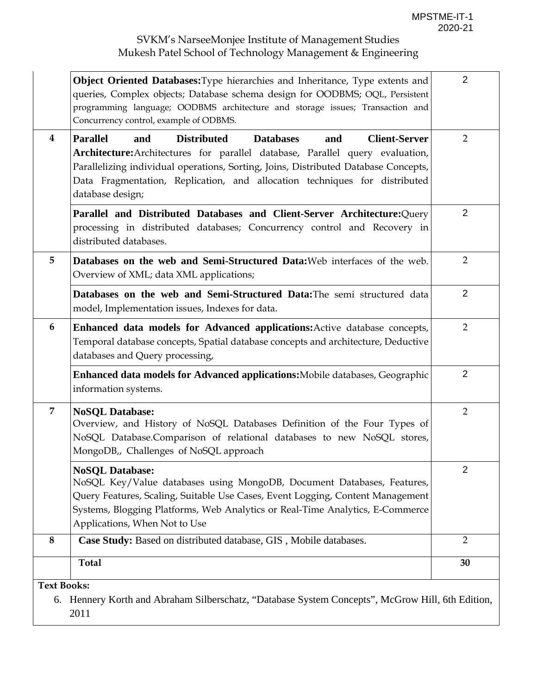|                    | <b>Object Oriented Databases:</b> Type hierarchies and Inheritance, Type extents and<br>queries, Complex objects; Database schema design for OODBMS; OQL, Persistent<br>programming language; OODBMS architecture and storage issues; Transaction and<br>Concurrency control, example of ODBMS.                                                                           | $\overline{2}$ |
|--------------------|---------------------------------------------------------------------------------------------------------------------------------------------------------------------------------------------------------------------------------------------------------------------------------------------------------------------------------------------------------------------------|----------------|
| 4                  | <b>Parallel</b><br><b>Distributed</b><br><b>Client-Server</b><br>and<br><b>Databases</b><br>and<br>Architecture: Architectures for parallel database, Parallel query evaluation,<br>Parallelizing individual operations, Sorting, Joins, Distributed Database Concepts,<br>Data Fragmentation, Replication, and allocation techniques for distributed<br>database design; | $\overline{2}$ |
|                    | Parallel and Distributed Databases and Client-Server Architecture: Query<br>processing in distributed databases; Concurrency control and Recovery in<br>distributed databases.                                                                                                                                                                                            | $\overline{2}$ |
| 5                  | Databases on the web and Semi-Structured Data: Web interfaces of the web.<br>Overview of XML; data XML applications;                                                                                                                                                                                                                                                      | $\overline{2}$ |
|                    | Databases on the web and Semi-Structured Data: The semi structured data<br>model, Implementation issues, Indexes for data.                                                                                                                                                                                                                                                | 2              |
| 6                  | Enhanced data models for Advanced applications: Active database concepts,<br>Temporal database concepts, Spatial database concepts and architecture, Deductive<br>databases and Query processing,                                                                                                                                                                         | $\overline{2}$ |
|                    | <b>Enhanced data models for Advanced applications:</b> Mobile databases, Geographic<br>information systems.                                                                                                                                                                                                                                                               | $\overline{2}$ |
| $\overline{7}$     | <b>NoSQL Database:</b><br>Overview, and History of NoSQL Databases Definition of the Four Types of<br>NoSQL Database.Comparison of relational databases to new NoSQL stores,<br>MongoDB,, Challenges of NoSQL approach                                                                                                                                                    | $\overline{2}$ |
|                    | <b>NoSQL Database:</b><br>NoSQL Key/Value databases using MongoDB, Document Databases, Features,<br>Query Features, Scaling, Suitable Use Cases, Event Logging, Content Management<br>Systems, Blogging Platforms, Web Analytics or Real-Time Analytics, E-Commerce<br>Applications, When Not to Use                                                                      | $\overline{2}$ |
| 8                  | Case Study: Based on distributed database, GIS, Mobile databases.                                                                                                                                                                                                                                                                                                         | $\overline{2}$ |
|                    | <b>Total</b>                                                                                                                                                                                                                                                                                                                                                              | 30             |
| <b>Text Books:</b> |                                                                                                                                                                                                                                                                                                                                                                           |                |
|                    | 6. Hennery Korth and Abraham Silberschatz, "Database System Concepts", McGrow Hill, 6th Edition,                                                                                                                                                                                                                                                                          |                |

2011